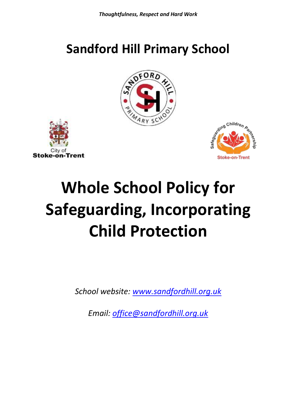# **Sandford Hill Primary School**







# **Whole School Policy for Safeguarding, Incorporating Child Protection**

*School website: [www.sandfordhill.org.uk](http://www.sandfordhill.org.uk/)*

*Email: [office@sandfordhill.org.uk](mailto:office@sandfordhill.org.uk)*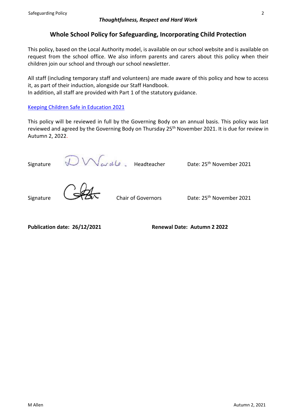# **Whole School Policy for Safeguarding, Incorporating Child Protection**

This policy, based on the Local Authority model, is available on our school website and is available on request from the school office. We also inform parents and carers about this policy when their children join our school and through our school newsletter.

All staff (including temporary staff and volunteers) are made aware of this policy and how to access it, as part of their induction, alongside our Staff Handbook.

In addition, all staff are provided with Part 1 of the statutory guidance.

# [Keeping Children Safe in Education 2021](https://assets.publishing.service.gov.uk/government/uploads/system/uploads/attachment_data/file/1007260/Keeping_children_safe_in_education_2021.pdf)

This policy will be reviewed in full by the Governing Body on an annual basis. This policy was last reviewed and agreed by the Governing Body on Thursday 25<sup>th</sup> November 2021. It is due for review in Autumn 2, 2022.

Signature  $\bigotimes_{\alpha} \bigwedge_{\alpha} \bigwedge_{\alpha} d_{\alpha}$ . Headteacher Date: 25<sup>th</sup> November 2021 Signature Chair of Governors Date: 25<sup>th</sup> November 2021

**Publication date: 26/12/2021 Renewal Date: Autumn 2 2022**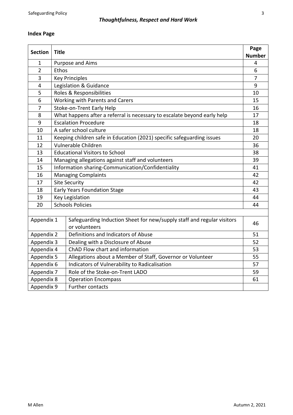# **Index Page**

| <b>Section</b> | <b>Title</b>                                                                            |    |  |
|----------------|-----------------------------------------------------------------------------------------|----|--|
|                |                                                                                         |    |  |
| 1              | Purpose and Aims                                                                        |    |  |
| $\overline{2}$ | Ethos                                                                                   |    |  |
| 3              | <b>Key Principles</b>                                                                   |    |  |
| 4              | Legislation & Guidance                                                                  |    |  |
| 5              | Roles & Responsibilities                                                                |    |  |
| 6              | Working with Parents and Carers                                                         |    |  |
| 7              | Stoke-on-Trent Early Help                                                               |    |  |
| 8              | What happens after a referral is necessary to escalate beyond early help                |    |  |
| 9              | <b>Escalation Procedure</b>                                                             |    |  |
| 10             | A safer school culture                                                                  |    |  |
| 11             | Keeping children safe in Education (2021) specific safeguarding issues                  |    |  |
| 12             | Vulnerable Children                                                                     |    |  |
| 13             | <b>Educational Visitors to School</b>                                                   |    |  |
| 14             | Managing allegations against staff and volunteers                                       |    |  |
| 15             | Information sharing-Communication/Confidentiality                                       |    |  |
| 16             | <b>Managing Complaints</b>                                                              |    |  |
| 17             | <b>Site Security</b>                                                                    |    |  |
| 18             | <b>Early Years Foundation Stage</b>                                                     |    |  |
| 19             | Key Legislation<br>44                                                                   |    |  |
| 20             | <b>Schools Policies</b>                                                                 |    |  |
|                |                                                                                         |    |  |
| Appendix 1     | Safeguarding Induction Sheet for new/supply staff and regular visitors<br>or volunteers | 46 |  |
| Appendix 2     | Definitions and Indicators of Abuse                                                     | 51 |  |
| Appendix 3     | Dealing with a Disclosure of Abuse                                                      | 52 |  |
| Appendix 4     | ChAD Flow chart and information                                                         | 53 |  |
| Appendix 5     | Allegations about a Member of Staff, Governor or Volunteer                              | 55 |  |
| Appendix 6     | Indicators of Vulnerability to Radicalisation                                           | 57 |  |
| Appendix 7     | Role of the Stoke-on-Trent LADO                                                         | 59 |  |
| Appendix 8     | <b>Operation Encompass</b>                                                              | 61 |  |
| Appendix 9     | <b>Further contacts</b>                                                                 |    |  |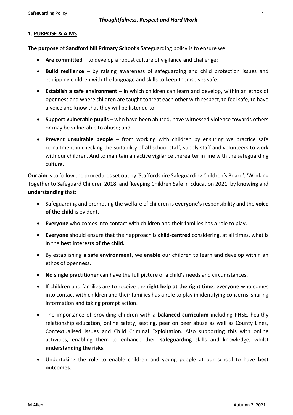#### **1. PURPOSE & AIMS**

**The purpose** of **Sandford hill Primary School's** Safeguarding policy is to ensure we:

- **Are committed**  to develop a robust culture of vigilance and challenge;
- **Build resilience**  by raising awareness of safeguarding and child protection issues and equipping children with the language and skills to keep themselves safe;
- **Establish a safe environment**  in which children can learn and develop, within an ethos of openness and where children are taught to treat each other with respect, to feel safe, to have a voice and know that they will be listened to;
- **Support vulnerable pupils**  who have been abused, have witnessed violence towards others or may be vulnerable to abuse; and
- **Prevent unsuitable people**  from working with children by ensuring we practice safe recruitment in checking the suitability of **all** school staff, supply staff and volunteers to work with our children. And to maintain an active vigilance thereafter in line with the safeguarding culture.

**Our aim** is to follow the procedures set out by 'Staffordshire Safeguarding Children's Board', 'Working Together to Safeguard Children 2018' and 'Keeping Children Safe in Education 2021' by **knowing** and **understanding** that:

- Safeguarding and promoting the welfare of children is **everyone's** responsibility and the **voice of the child** is evident.
- **Everyone** who comes into contact with children and their families has a role to play.
- **Everyone** should ensure that their approach is **child-centred** considering, at all times, what is in the **best interests of the child.**
- By establishing **a safe environment,** we **enable** our children to learn and develop within an ethos of openness.
- **No single practitioner** can have the full picture of a child's needs and circumstances.
- If children and families are to receive the **right help at the right time**, **everyone** who comes into contact with children and their families has a role to play in identifying concerns, sharing information and taking prompt action.
- The importance of providing children with a **balanced curriculum** including PHSE, healthy relationship education, online safety, sexting, peer on peer abuse as well as County Lines, Contextualised issues and Child Criminal Exploitation. Also supporting this with online activities, enabling them to enhance their **safeguarding** skills and knowledge, whilst **understanding the risks.**
- Undertaking the role to enable children and young people at our school to have **best outcomes**.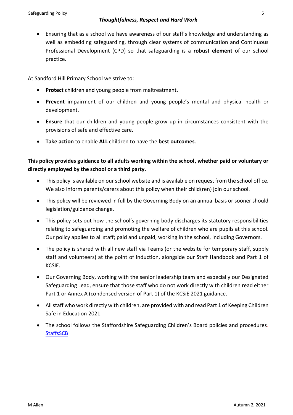• Ensuring that as a school we have awareness of our staff's knowledge and understanding as well as embedding safeguarding, through clear systems of communication and Continuous Professional Development (CPD) so that safeguarding is a **robust element** of our school practice.

At Sandford Hill Primary School we strive to:

- **Protect** children and young people from maltreatment.
- **Prevent** impairment of our children and young people's mental and physical health or development.
- **Ensure** that our children and young people grow up in circumstances consistent with the provisions of safe and effective care.
- **Take action** to enable **ALL** children to have the **best outcomes**.

# **This policy provides guidance to all adults working within the school, whether paid or voluntary or directly employed by the school or a third party.**

- This policy is available on our school website and is available on request from the school office. We also inform parents/carers about this policy when their child(ren) join our school.
- This policy will be reviewed in full by the Governing Body on an annual basis or sooner should legislation/guidance change.
- This policy sets out how the school's governing body discharges its statutory responsibilities relating to safeguarding and promoting the welfare of children who are pupils at this school. Our policy applies to all staff; paid and unpaid, working in the school, including Governors.
- The policy is shared with all new staff via Teams (or the website for temporary staff, supply staff and volunteers) at the point of induction, alongside our Staff Handbook and Part 1 of KCSIE.
- Our Governing Body, working with the senior leadership team and especially our Designated Safeguarding Lead, ensure that those staff who do not work directly with children read either Part 1 or Annex A (condensed version of Part 1) of the KCSiE 2021 guidance.
- All staff who work directly with children, are provided with and read Part 1 of Keeping Children Safe in Education 2021.
- The school follows the Staffordshire Safeguarding Children's Board policies and procedures. **[StaffsSCB](https://www.staffsscb.org.uk/)**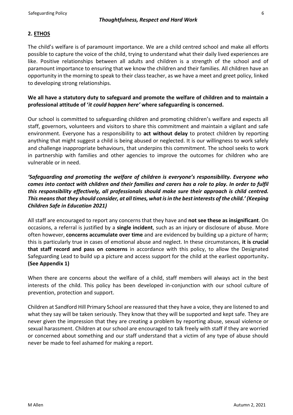# **2. ETHOS**

The child's welfare is of paramount importance. We are a child centred school and make all efforts possible to capture the voice of the child, trying to understand what their daily lived experiences are like. Positive relationships between all adults and children is a strength of the school and of paramount importance to ensuring that we know the children and their families. All children have an opportunity in the morning to speak to their class teacher, as we have a meet and greet policy, linked to developing strong relationships.

# **We all have a statutory duty to safeguard and promote the welfare of children and to maintain a professional attitude of '***it could happen here'* **where safeguarding is concerned.**

Our school is committed to safeguarding children and promoting children's welfare and expects all staff, governors, volunteers and visitors to share this commitment and maintain a vigilant and safe environment. Everyone has a responsibility to **act without delay** to protect children by reporting anything that might suggest a child is being abused or neglected. It is our willingness to work safely and challenge inappropriate behaviours, that underpins this commitment. The school seeks to work in partnership with families and other agencies to improve the outcomes for children who are vulnerable or in need.

*'Safeguarding and promoting the welfare of children is everyone's responsibility. Everyone who comes into contact with children and their families and carers has a role to play. In order to fulfil this responsibility effectively, all professionals should make sure their approach is child centred. This means that they should consider, at all times, what is in the best interests of the child.' (Keeping Children Safe in Education 2021)* 

All staff are encouraged to report any concerns that they have and **not see these as insignificant**. On occasions, a referral is justified by a **single incident**, such as an injury or disclosure of abuse. More often however, **concerns accumulate over time** and are evidenced by building up a picture of harm; this is particularly true in cases of emotional abuse and neglect. In these circumstances, **it is crucial that staff record and pass on concerns** in accordance with this policy, to allow the Designated Safeguarding Lead to build up a picture and access support for the child at the earliest opportunity**. (See Appendix 1)**

When there are concerns about the welfare of a child, staff members will always act in the best interests of the child. This policy has been developed in-conjunction with our school culture of prevention, protection and support.

Children at Sandford Hill Primary School are reassured that they have a voice, they are listened to and what they say will be taken seriously. They know that they will be supported and kept safe. They are never given the impression that they are creating a problem by reporting abuse, sexual violence or sexual harassment. Children at our school are encouraged to talk freely with staff if they are worried or concerned about something and our staff understand that a victim of any type of abuse should never be made to feel ashamed for making a report.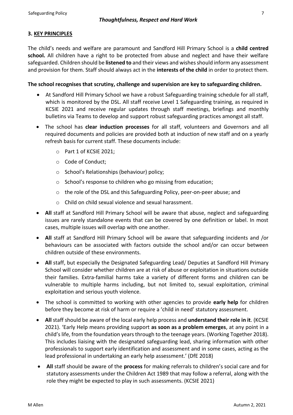# **3. KEY PRINCIPLES**

The child's needs and welfare are paramount and Sandford Hill Primary School is a **child centred school.** All children have a right to be protected from abuse and neglect and have their welfare safeguarded. Children should be **listened to** and their views and wishes should inform any assessment and provision for them. Staff should always act in the **interests of the child** in order to protect them.

#### **The school recognises that scrutiny, challenge and supervision are key to safeguarding children.**

- At Sandford Hill Primary School we have a robust Safeguarding training schedule for all staff, which is monitored by the DSL. All staff receive Level 1 Safeguarding training, as required in KCSIE 2021 and receive regular updates through staff meetings, briefings and monthly bulletins via Teams to develop and support robust safeguarding practices amongst all staff.
- The school has **clear induction processes** for all staff, volunteers and Governors and all required documents and policies are provided both at induction of new staff and on a yearly refresh basis for current staff. These documents include:
	- o Part 1 of KCSIE 2021;
	- o Code of Conduct;
	- o School's Relationships (behaviour) policy;
	- o School's response to children who go missing from education;
	- o the role of the DSL and this Safeguarding Policy, peer-on-peer abuse; and
	- o Child on child sexual violence and sexual harassment.
- **All** staff at Sandford Hill Primary School will be aware that abuse, neglect and safeguarding issues are rarely standalone events that can be covered by one definition or label. In most cases, multiple issues will overlap with one another.
- **All** staff at Sandford Hill Primary School will be aware that safeguarding incidents and /or behaviours can be associated with factors outside the school and/or can occur between children outside of these environments.
- **All** staff, but especially the Designated Safeguarding Lead/ Deputies at Sandford Hill Primary School will consider whether children are at risk of abuse or exploitation in situations outside their families. Extra-familial harms take a variety of different forms and children can be vulnerable to multiple harms including, but not limited to, sexual exploitation, criminal exploitation and serious youth violence.
- The school is committed to working with other agencies to provide **early help** for children before they become at risk of harm or require a 'child in need' statutory assessment.
- **All** staff should be aware of the local early help process and **understand their role in it**. (KCSIE 2021). 'Early Help means providing support **as soon as a problem emerges**, at any point in a child's life, from the foundation years through to the teenage years. (Working Together 2018). This includes liaising with the designated safeguarding lead, sharing information with other professionals to support early identification and assessment and in some cases, acting as the lead professional in undertaking an early help assessment.' (DfE 2018)
- **All** staff should be aware of the **process** for making referrals to children's social care and for statutory assessments under the Children Act 1989 that may follow a referral, along with the role they might be expected to play in such assessments. (KCSIE 2021)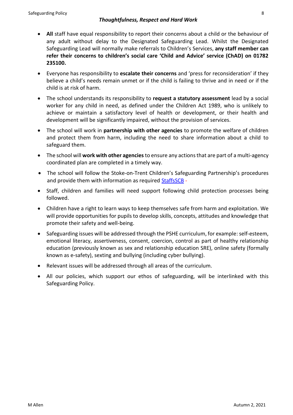- **All** staff have equal responsibility to report their concerns about a child or the behaviour of any adult without delay to the Designated Safeguarding Lead. Whilst the Designated Safeguarding Lead will normally make referrals to Children's Services, **any staff member can refer their concerns to children's social care 'Child and Advice' service (ChAD) on 01782 235100.**
- Everyone has responsibility to **escalate their concerns** and 'press for reconsideration' if they believe a child's needs remain unmet or if the child is failing to thrive and in need or if the child is at risk of harm.
- The school understands its responsibility to **request a statutory assessment** lead by a social worker for any child in need, as defined under the Children Act 1989, who is unlikely to achieve or maintain a satisfactory level of health or development, or their health and development will be significantly impaired, without the provision of services.
- The school will work in **partnership with other agencies** to promote the welfare of children and protect them from harm, including the need to share information about a child to safeguard them.
- The school will **work with other agencies** to ensure any actions that are part of a multi-agency coordinated plan are completed in a timely way.
- The school will follow the Stoke-on-Trent Children's Safeguarding Partnership's procedures and provide them with information as required [StaffsSCB](https://www.staffsscb.org.uk/) -
- Staff, children and families will need support following child protection processes being followed.
- Children have a right to learn ways to keep themselves safe from harm and exploitation. We will provide opportunities for pupils to develop skills, concepts, attitudes and knowledge that promote their safety and well-being.
- Safeguarding issues will be addressed through the PSHE curriculum, for example: self-esteem, emotional literacy, assertiveness, consent, coercion, control as part of healthy relationship education (previously known as sex and relationship education SRE), online safety (formally known as e-safety), sexting and bullying (including cyber bullying).
- Relevant issues will be addressed through all areas of the curriculum.
- All our policies, which support our ethos of safeguarding, will be interlinked with this Safeguarding Policy.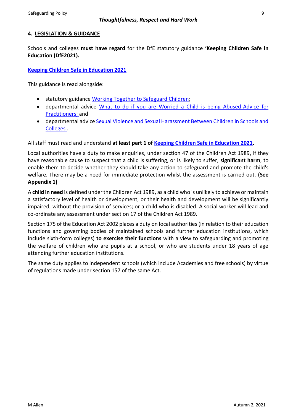# **4. LEGISLATION & GUIDANCE**

Schools and colleges **must have regard** for the DfE statutory guidance **'Keeping Children Safe in Education (DfE2021).**

# **[Keeping Children Safe in Education 2021](https://assets.publishing.service.gov.uk/government/uploads/system/uploads/attachment_data/file/1007260/Keeping_children_safe_in_education_2021.pdf)**

This guidance is read alongside:

- statutory guidance [Working Together to Safeguard Children;](https://assets.publishing.service.gov.uk/government/uploads/system/uploads/attachment_data/file/942454/Working_together_to_safeguard_children_inter_agency_guidance.pdf)
- departmental advice [What to do if you are Worried a Child is being Abused-Advice for](https://assets.publishing.service.gov.uk/government/uploads/system/uploads/attachment_data/file/419604/What_to_do_if_you_re_worried_a_child_is_being_abused.pdf)  [Practitioners;](https://assets.publishing.service.gov.uk/government/uploads/system/uploads/attachment_data/file/419604/What_to_do_if_you_re_worried_a_child_is_being_abused.pdf) and
- departmental advic[e Sexual Violence and Sexual Harassment Between Children in Schools and](https://assets.publishing.service.gov.uk/government/uploads/system/uploads/attachment_data/file/999239/SVSH_2021.pdf)  [Colleges .](https://assets.publishing.service.gov.uk/government/uploads/system/uploads/attachment_data/file/999239/SVSH_2021.pdf)

All staff must read and understand **at least part 1 of [Keeping Children Safe in Education 2021.](https://assets.publishing.service.gov.uk/government/uploads/system/uploads/attachment_data/file/1007260/Keeping_children_safe_in_education_2021.pdf)**

Local authorities have a duty to make enquiries, under section 47 of the Children Act 1989, if they have reasonable cause to suspect that a child is suffering, or is likely to suffer, **significant harm**, to enable them to decide whether they should take any action to safeguard and promote the child's welfare. There may be a need for immediate protection whilst the assessment is carried out. **(See Appendix 1)**

A **child in need** is defined under the Children Act 1989, as a child who is unlikely to achieve or maintain a satisfactory level of health or development, or their health and development will be significantly impaired, without the provision of services; or a child who is disabled. A social worker will lead and co-ordinate any assessment under section 17 of the Children Act 1989.

Section 175 of the Education Act 2002 places a duty on local authorities (in relation to their education functions and governing bodies of maintained schools and further education institutions, which include sixth-form colleges) **to exercise their functions** with a view to safeguarding and promoting the welfare of children who are pupils at a school, or who are students under 18 years of age attending further education institutions.

The same duty applies to independent schools (which include Academies and free schools) by virtue of regulations made under section 157 of the same Act.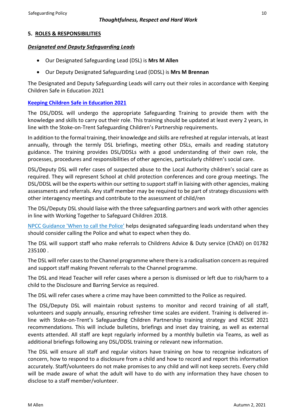# **5. ROLES & RESPONSIBILITIES**

#### *Designated and Deputy Safeguarding Leads*

- Our Designated Safeguarding Lead (DSL) is **Mrs M Allen**
- Our Deputy Designated Safeguarding Lead (DDSL) is **Mrs M Brennan**

The Designated and Deputy Safeguarding Leads will carry out their roles in accordance with Keeping Children Safe in Education 2021

#### **[Keeping Children Safe in Education 2021](https://assets.publishing.service.gov.uk/government/uploads/system/uploads/attachment_data/file/1007260/Keeping_children_safe_in_education_2021.pdf)**

The DSL/DDSL will undergo the appropriate Safeguarding Training to provide them with the knowledge and skills to carry out their role. This training should be updated at least every 2 years, in line with the Stoke-on-Trent Safeguarding Children's Partnership requirements.

In addition to the formal training, their knowledge and skills are refreshed at regular intervals, at least annually, through the termly DSL briefings, meeting other DSLs, emails and reading statutory guidance. The training provides DSL/DDSLs with a good understanding of their own role, the processes, procedures and responsibilities of other agencies, particularly children's social care.

DSL/Deputy DSL will refer cases of suspected abuse to the Local Authority children's social care as required. They will represent School at child protection conferences and core group meetings. The DSL/DDSL will be the experts within our setting to support staff in liaising with other agencies, making assessments and referrals. Any staff member may be required to be part of strategy discussions with other interagency meetings and contribute to the assessment of child/ren

The DSL/Deputy DSL should liaise with the three safeguarding partners and work with other agencies in line with Working Together to Safeguard Children 2018.

[NPCC Guidance 'When to call the Police'](https://www.npcc.police.uk/documents/Children%20and%20Young%20people/When%20to%20call%20police%20guidance%20for%20schools%20and%20colleges.pdf) helps designated safeguarding leads understand when they should consider calling the Police and what to expect when they do.

The DSL will support staff who make referrals to Childrens Advice & Duty service (ChAD) on 01782 235100 .

The DSL will refer cases to the Channel programme where there is a radicalisation concern as required and support staff making Prevent referrals to the Channel programme.

The DSL and Head Teacher will refer cases where a person is dismissed or left due to risk/harm to a child to the Disclosure and Barring Service as required.

The DSL will refer cases where a crime may have been committed to the Police as required.

The DSL/Deputy DSL will maintain robust systems to monitor and record training of all staff, volunteers and supply annually, ensuring refresher time scales are evident. Training is delivered inline with Stoke-on-Trent's Safeguarding Children Partnership training strategy and KCSIE 2021 recommendations. This will include bulletins, briefings and inset day training, as well as external events attended. All staff are kept regularly informed by a monthly bulletin via Teams, as well as additional briefings following any DSL/DDSL training or relevant new information.

The DSL will ensure all staff and regular visitors have training on how to recognise indicators of concern, how to respond to a disclosure from a child and how to record and report this information accurately. Staff/volunteers do not make promises to any child and will not keep secrets. Every child will be made aware of what the adult will have to do with any information they have chosen to disclose to a staff member/volunteer.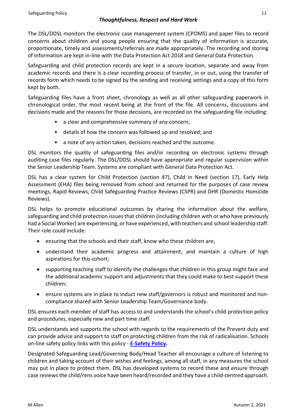The DSL/DDSL monitors the electronic case management system (CPOMS) and paper files to record concerns about children and young people ensuring that the quality of information is accurate, proportionate, timely and assessments/referrals are made appropriately. The recording and storing of information are kept in-line with the Data Protection Act 2018 and General Data Protection.

Safeguarding and child protection records are kept in a secure location, separate and away from academic records and there is a clear recording process of transfer, in or out, using the transfer of records form which needs to be signed by the sending and receiving settings and a copy of this form kept by both.

Safeguarding files have a front sheet, chronology as well as all other safeguarding paperwork in chronological order, the most recent being at the front of the file. All concerns, discussions and decisions made and the reasons for those decisions, are recorded on the safeguarding file including:

- a clear and comprehensive summary of any concern;
- details of how the concern was followed up and resolved; and
- a note of any action taken, decisions reached and the outcome.

DSL monitors the quality of safeguarding files and/or recording on electronic systems through auditing case files regularly. The DSL/DDSL should have appropriate and regular supervision within the Senior Leadership Team. Systems are compliant with General Data Protection Act.

DSL has a clear system for Child Protection (section 47), Child in Need (section 17), Early Help Assessment (EHA) files being removed from school and returned for the purposes of case review meetings, Rapid Reviews, Child Safeguarding Practice Reviews (CSPR) and DHR (Domestic Homicide Reviews).

DSL helps to promote educational outcomes by sharing the information about the welfare, safeguarding and child protection issues that children (including children with or who have previously had a Social Worker) are experiencing, or have experienced, with teachers and school leadership staff. Their role could include:

- ensuring that the schools and their staff, know who these children are;
- understand their academic progress and attainment; and maintain a culture of high aspirations for this cohort;
- supporting teaching staff to identify the challenges that children in this group might face and the additional academic support and adjustments that they could make to best support these children;
- ensure systems are in place to induct new staff/governors is robust and monitored and noncompliance shared with Senior Leadership Team/Governance body.

DSL ensures each member of staff has access to and understands the school's child protection policy and procedures, especially new and part time staff.

DSL understands and supports the school with regards to the requirements of the Prevent duty and can provide advice and support to staff on protecting children from the risk of radicalisation. Schools on-line safety policy links with this policy - **[E-Safety Policy.](https://sandfordhill.org.uk/wp-content/uploads/2021/10/2021-e-Safety-Policy.pdf)**

Designated Safeguarding Lead/Governing Body/Head Teacher all encourage a culture of listening to children and taking account of their wishes and feelings, among all staff, in any measures the school may put in place to protect them. DSL has developed systems to record these and ensure through case reviews the child/rens voice have been heard/recorded and they have a child-centred approach.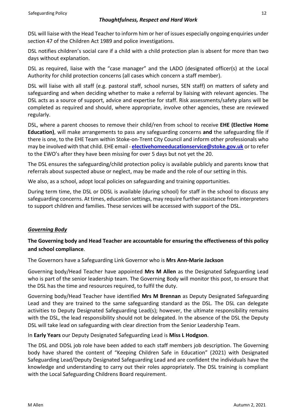DSL will liaise with the Head Teacher to inform him or her of issues especially ongoing enquiries under section 47 of the Children Act 1989 and police investigations.

DSL notifies children's social care if a child with a child protection plan is absent for more than two days without explanation.

DSL as required, liaise with the "case manager" and the LADO (designated officer(s) at the Local Authority for child protection concerns (all cases which concern a staff member).

DSL will liaise with all staff (e.g. pastoral staff, school nurses, SEN staff) on matters of safety and safeguarding and when deciding whether to make a referral by liaising with relevant agencies. The DSL acts as a source of support, advice and expertise for staff. Risk assessments/safety plans will be completed as required and should, where appropriate, involve other agencies, these are reviewed regularly.

DSL, where a parent chooses to remove their child/ren from school to receive **EHE (Elective Home Education)**, will make arrangements to pass any safeguarding concerns **and** the safeguarding file if there is one, to the EHE Team within Stoke-on-Trent City Council and inform other professionals who may be involved with that child. EHE email - **electivehomeeducationservice@stoke.gov.uk** or to refer to the EWO's after they have been missing for over 5 days but not yet the 20.

The DSL ensures the safeguarding/child protection policy is available publicly and parents know that referrals about suspected abuse or neglect, may be made and the role of our setting in this.

We also, as a school, adopt local policies on safeguarding and training opportunities.

During term time, the DSL or DDSL is available (during school) for staff in the school to discuss any safeguarding concerns. At times, education settings, may require further assistance from interpreters to support children and families. These services will be accessed with support of the DSL.

# *Governing Body*

# **The Governing body and Head Teacher are accountable for ensuring the effectiveness of this policy and school compliance**.

The Governors have a Safeguarding Link Governor who is **Mrs Ann-Marie Jackson**

Governing body/Head Teacher have appointed **Mrs M Allen** as the Designated Safeguarding Lead who is part of the senior leadership team. The Governing Body will monitor this post, to ensure that the DSL has the time and resources required, to fulfil the duty.

Governing body/Head Teacher have identified **Mrs M Brennan** as Deputy Designated Safeguarding Lead and they are trained to the same safeguarding standard as the DSL. The DSL can delegate activities to Deputy Designated Safeguarding Lead(s); however, the ultimate responsibility remains with the DSL, the lead responsibility should not be delegated. In the absence of the DSL the Deputy DSL will take lead on safeguarding with clear direction from the Senior Leadership Team.

In **Early Years** our Deputy Designated Safeguarding Lead is **Miss L Hodgson**.

The DSL and DDSL job role have been added to each staff members job description. The Governing body have shared the content of "Keeping Children Safe in Education" (2021) with Designated Safeguarding Lead/Deputy Designated Safeguarding Lead and are confident the individuals have the knowledge and understanding to carry out their roles appropriately. The DSL training is compliant with the Local Safeguarding Childrens Board requirement.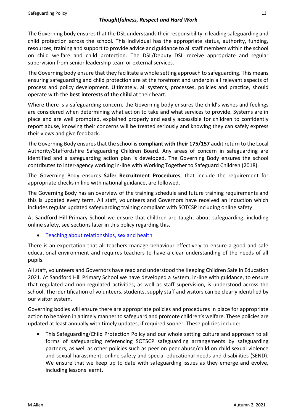The Governing body ensures that the DSL understands their responsibility in leading safeguarding and child protection across the school. This individual has the appropriate status, authority, funding, resources, training and support to provide advice and guidance to all staff members within the school on child welfare and child protection. The DSL/Deputy DSL receive appropriate and regular supervision from senior leadership team or external services.

The Governing body ensure that they facilitate a whole setting approach to safeguarding. This means ensuring safeguarding and child protection are at the forefront and underpin all relevant aspects of process and policy development. Ultimately, all systems, processes, policies and practice, should operate with the **best interests of the child** at their heart.

Where there is a safeguarding concern, the Governing body ensures the child's wishes and feelings are considered when determining what action to take and what services to provide. Systems are in place and are well promoted, explained properly and easily accessible for children to confidently report abuse, knowing their concerns will be treated seriously and knowing they can safely express their views and give feedback.

The Governing Body ensures that the school is **compliant with their 175/157** audit return to the Local Authority/Staffordshire Safeguarding Children Board. Any areas of concern in safeguarding are identified and a safeguarding action plan is developed. The Governing Body ensures the school contributes to inter-agency working in-line with Working Together to Safeguard Children (2018).

The Governing Body ensures **Safer Recruitment Procedures**, that include the requirement for appropriate checks in line with national guidance, are followed.

The Governing Body has an overview of the training schedule and future training requirements and this is updated every term. All staff, volunteers and Governors have received an induction which includes regular updated safeguarding training compliant with SOTCSP including online safety.

At Sandford Hill Primary School we ensure that children are taught about safeguarding, including online safety, see sections later in this policy regarding this.

• [Teaching about relationships, sex and health](https://www.gov.uk/guidance/teaching-about-relationships-sex-and-health)

There is an expectation that all teachers manage behaviour effectively to ensure a good and safe educational environment and requires teachers to have a clear understanding of the needs of all pupils.

All staff, volunteers and Governors have read and understood the Keeping Children Safe in Education 2021. At Sandford Hill Primary School we have developed a system, in-line with guidance, to ensure that regulated and non-regulated activities, as well as staff supervision, is understood across the school. The identification of volunteers, students, supply staff and visitors can be clearly identified by our visitor system.

Governing bodies will ensure there are appropriate policies and procedures in place for appropriate action to be taken in a timely manner to safeguard and promote children's welfare. These policies are updated at least annually with timely updates, if required sooner. These policies include: -

• This Safeguarding/Child Protection Policy and our whole setting culture and approach to all forms of safeguarding referencing SOTSCP safeguarding arrangements by safeguarding partners, as well as other policies such as peer on peer abuse/child on child sexual violence and sexual harassment, online safety and special educational needs and disabilities (SEND). We ensure that we keep up to date with safeguarding issues as they emerge and evolve, including lessons learnt.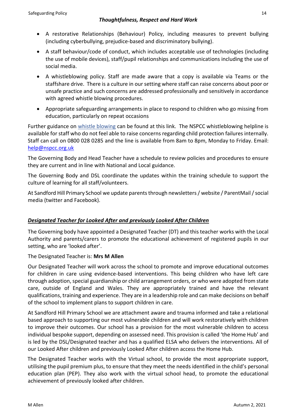- A restorative Relationships (Behaviour) Policy, including measures to prevent bullying (including cyberbullying, prejudice-based and discriminatory bullying).
- A staff behaviour/code of conduct, which includes acceptable use of technologies (including the use of mobile devices), staff/pupil relationships and communications including the use of social media.
- A whistleblowing policy. Staff are made aware that a copy is available via Teams or the staffshare drive. There is a culture in our setting where staff can raise concerns about poor or unsafe practice and such concerns are addressed professionally and sensitively in accordance with agreed whistle blowing procedures.
- Appropriate safeguarding arrangements in place to respond to children who go missing from education, particularly on repeat occasions

Further guidance on [whistle blowing](https://www.gov.uk/whistleblowing) can be found at this link. The NSPCC whistleblowing helpline is available for staff who do not feel able to raise concerns regarding child protection failures internally. Staff can call on 0800 028 0285 and the line is available from 8am to 8pm, Monday to Friday. Email: [help@nspcc.org.uk](mailto:help@nspcc.org.uk)

The Governing Body and Head Teacher have a schedule to review policies and procedures to ensure they are current and in line with National and Local guidance.

The Governing Body and DSL coordinate the updates within the training schedule to support the culture of learning for all staff/volunteers.

At Sandford Hill Primary School we update parents through newsletters/ website / ParentMail /social media (twitter and Facebook).

# *Designated Teacher for Looked After and previously Looked After Children*

The Governing body have appointed a Designated Teacher (DT) and this teacher works with the Local Authority and parents/carers to promote the educational achievement of registered pupils in our setting, who are 'looked after'.

The Designated Teacher is: **Mrs M Allen**

Our Designated Teacher will work across the school to promote and improve educational outcomes for children in care using evidence-based interventions. This being children who have left care through adoption, special guardianship or child arrangement orders, or who were adopted from state care, outside of England and Wales. They are appropriately trained and have the relevant qualifications, training and experience. They are in a leadership role and can make decisions on behalf of the school to implement plans to support children in care.

At Sandford Hill Primary School we are attachment aware and trauma informed and take a relational based approach to supporting our most vulnerable children and will work restoratively with children to improve their outcomes. Our school has a provision for the most vulnerable children to access individual bespoke support, depending on assessed need. This provision is called 'the Home Hub' and is led by the DSL/Designated teacher and has a qualified ELSA who delivers the interventions. All of our Looked After children and previously Looked After children access the Home Hub.

The Designated Teacher works with the Virtual school, to provide the most appropriate support, utilising the pupil premium plus, to ensure that they meet the needs identified in the child's personal education plan (PEP). They also work with the virtual school head, to promote the educational achievement of previously looked after children.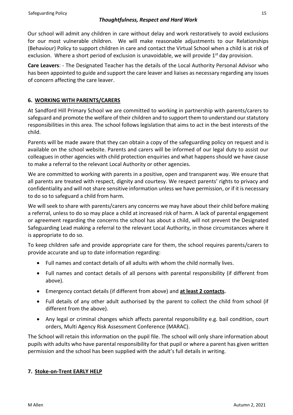Our school will admit any children in care without delay and work restoratively to avoid exclusions for our most vulnerable children. We will make reasonable adjustments to our Relationships (Behaviour) Policy to support children in care and contact the Virtual School when a child is at risk of exclusion. Where a short period of exclusion is unavoidable, we will provide  $1<sup>st</sup>$  day provision.

**Care Leavers**: - The Designated Teacher has the details of the Local Authority Personal Advisor who has been appointed to guide and support the care leaver and liaises as necessary regarding any issues of concern affecting the care leaver.

# **6. WORKING WITH PARENTS/CARERS**

At Sandford Hill Primary School we are committed to working in partnership with parents/carers to safeguard and promote the welfare of their children and to support them to understand our statutory responsibilities in this area. The school follows legislation that aims to act in the best interests of the child.

Parents will be made aware that they can obtain a copy of the safeguarding policy on request and is available on the school website. Parents and carers will be informed of our legal duty to assist our colleagues in other agencies with child protection enquiries and what happens should we have cause to make a referral to the relevant Local Authority or other agencies.

We are committed to working with parents in a positive, open and transparent way. We ensure that all parents are treated with respect, dignity and courtesy. We respect parents' rights to privacy and confidentiality and will not share sensitive information unless we have permission, or if it is necessary to do so to safeguard a child from harm.

We will seek to share with parents/carers any concerns we may have about their child before making a referral, unless to do so may place a child at increased risk of harm. A lack of parental engagement or agreement regarding the concerns the school has about a child, will not prevent the Designated Safeguarding Lead making a referral to the relevant Local Authority, in those circumstances where it is appropriate to do so.

To keep children safe and provide appropriate care for them, the school requires parents/carers to provide accurate and up to date information regarding:

- Full names and contact details of all adults with whom the child normally lives.
- Full names and contact details of all persons with parental responsibility (if different from above).
- Emergency contact details (if different from above) and **at least 2 contacts.**
- Full details of any other adult authorised by the parent to collect the child from school (if different from the above).
- Any legal or criminal changes which affects parental responsibility e.g. bail condition, court orders, Multi Agency Risk Assessment Conference (MARAC).

The School will retain this information on the pupil file. The school will only share information about pupils with adults who have parental responsibility for that pupil or where a parent has given written permission and the school has been supplied with the adult's full details in writing.

# **7. Stoke-on-Trent EARLY HELP**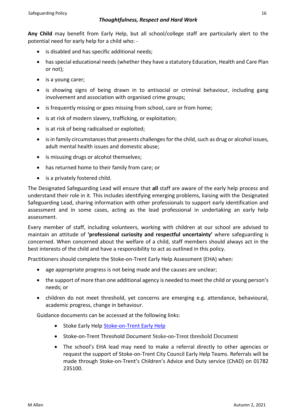**Any Child** may benefit from Early Help, but all school/college staff are particularly alert to the potential need for early help for a child who: -

- is disabled and has specific additional needs;
- has special educational needs (whether they have a statutory Education, Health and Care Plan or not);
- is a young carer;
- is showing signs of being drawn in to antisocial or criminal behaviour, including gang involvement and association with organised crime groups;
- is frequently missing or goes missing from school, care or from home;
- is at risk of modern slavery, trafficking, or exploitation;
- is at risk of being radicalised or exploited;
- is in family circumstances that presents challenges for the child, such as drug or alcohol issues, adult mental health issues and domestic abuse;
- is misusing drugs or alcohol themselves;
- has returned home to their family from care; or
- is a privately fostered child.

The Designated Safeguarding Lead will ensure that **all** staff are aware of the early help process and understand their role in it. This includes identifying emerging problems, liaising with the Designated Safeguarding Lead, sharing information with other professionals to support early identification and assessment and in some cases, acting as the lead professional in undertaking an early help assessment.

Every member of staff, including volunteers, working with children at our school are advised to maintain an attitude of **'professional curiosity and respectful uncertainty'** where safeguarding is concerned. When concerned about the welfare of a child, staff members should always act in the best interests of the child and have a responsibility to act as outlined in this policy.

Practitioners should complete the Stoke-on-Trent Early Help Assessment (EHA) when:

- age appropriate progress is not being made and the causes are unclear;
- the support of more than one additional agency is needed to meet the child or young person's needs; or
- children do not meet threshold, yet concerns are emerging e.g. attendance, behavioural, academic progress, change in behaviour.

Guidance documents can be accessed at the following links:

- Stoke Early Help [Stoke-on-Trent](https://www.staffsscb.org.uk/working-together-to-safeguard-children/early-help-strategy/stoke-on-trent-early-help/) Early Help
- Stoke-on-Trent Threshold Document Stoke-on-Trent [threshold Document](https://www.stoke.gov.uk/safeguarding)
- The school's EHA lead may need to make a referral directly to other agencies or request the support of Stoke-on-Trent City Council Early Help Teams. Referrals will be made through Stoke-on-Trent's Children's Advice and Duty service (ChAD) on 01782 235100.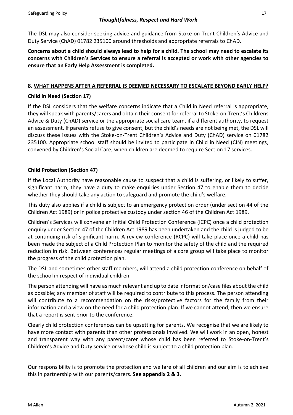The DSL may also consider seeking advice and guidance from Stoke-on-Trent Children's Advice and Duty Service (ChAD) 01782 235100 around thresholds and appropriate referrals to ChAD.

**Concerns about a child should always lead to help for a child. The school may need to escalate its concerns with Children's Services to ensure a referral is accepted or work with other agencies to ensure that an Early Help Assessment is completed.**

# **8. WHAT HAPPENS AFTER A REFERRAL IS DEEMED NECESSARY TO ESCALATE BEYOND EARLY HELP?**

# **Child in Need (Section 17)**

If the DSL considers that the welfare concerns indicate that a Child in Need referral is appropriate, they will speak with parents/carers and obtain their consent for referral to Stoke-on-Trent's Childrens Advice & Duty (ChAD) service or the appropriate social care team, if a different authority, to request an assessment. If parents refuse to give consent, but the child's needs are not being met, the DSL will discuss these issues with the Stoke-on-Trent Children's Advice and Duty (ChAD) service on 01782 235100. Appropriate school staff should be invited to participate in Child in Need (CIN) meetings, convened by Children's Social Care, when children are deemed to require Section 17 services.

# **Child Protection (Section 47)**

If the Local Authority have reasonable cause to suspect that a child is suffering, or likely to suffer, significant harm, they have a duty to make enquiries under Section 47 to enable them to decide whether they should take any action to safeguard and promote the child's welfare.

This duty also applies if a child is subject to an emergency protection order (under section 44 of the Children Act 1989) or in police protective custody under section 46 of the Children Act 1989.

Children's Services will convene an Initial Child Protection Conference (ICPC) once a child protection enquiry under Section 47 of the Children Act 1989 has been undertaken and the child is judged to be at continuing risk of significant harm. A review conference (RCPC) will take place once a child has been made the subject of a Child Protection Plan to monitor the safety of the child and the required reduction in risk. Between conferences regular meetings of a core group will take place to monitor the progress of the child protection plan.

The DSL and sometimes other staff members, will attend a child protection conference on behalf of the school in respect of individual children.

The person attending will have as much relevant and up to date information/case files about the child as possible; any member of staff will be required to contribute to this process. The person attending will contribute to a recommendation on the risks/protective factors for the family from their information and a view on the need for a child protection plan. If we cannot attend, then we ensure that a report is sent prior to the conference.

Clearly child protection conferences can be upsetting for parents. We recognise that we are likely to have more contact with parents than other professionals involved. We will work in an open, honest and transparent way with any parent/carer whose child has been referred to Stoke-on-Trent's Children's Advice and Duty service or whose child is subject to a child protection plan.

Our responsibility is to promote the protection and welfare of all children and our aim is to achieve this in partnership with our parents/carers. **See appendix 2 & 3.**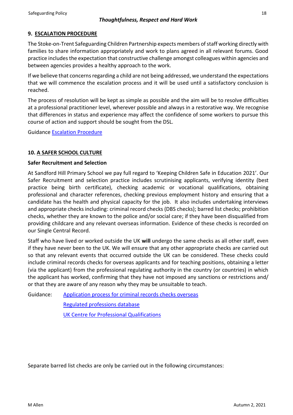# **9. ESCALATION PROCEDURE**

The Stoke-on-Trent Safeguarding Children Partnership expects members of staff working directly with families to share information appropriately and work to plans agreed in all relevant forums. Good practice includes the expectation that constructive challenge amongst colleagues within agencies and between agencies provides a healthy approach to the work.

If we believe that concerns regarding a child are not being addressed, we understand the expectations that we will commence the escalation process and it will be used until a satisfactory conclusion is reached.

The process of resolution will be kept as simple as possible and the aim will be to resolve difficulties at a professional practitioner level, wherever possible and always in a restorative way. We recognise that differences in status and experience may affect the confidence of some workers to pursue this course of action and support should be sought from the DSL.

Guidance [Escalation Procedure](https://www.staffsscb.org.uk/procedures/childrens-workforce/)

# **10. A SAFER SCHOOL CULTURE**

# **Safer Recruitment and Selection**

At Sandford Hill Primary School we pay full regard to 'Keeping Children Safe in Education 2021'. Our Safer Recruitment and selection practice includes scrutinising applicants, verifying identity (best practice being birth certificate), checking academic or vocational qualifications, obtaining professional and character references, checking previous employment history and ensuring that a candidate has the health and physical capacity for the job. It also includes undertaking interviews and appropriate checks including: criminal record checks (DBS checks); barred list checks; prohibition checks, whether they are known to the police and/or social care; if they have been disqualified from providing childcare and any relevant overseas information. Evidence of these checks is recorded on our Single Central Record.

Staff who have lived or worked outside the UK **will** undergo the same checks as all other staff, even if they have never been to the UK. We will ensure that any other appropriate checks are carried out so that any relevant events that occurred outside the UK can be considered. These checks could include criminal records checks for overseas applicants and for teaching positions, obtaining a letter (via the applicant) from the professional regulating authority in the country (or countries) in which the applicant has worked, confirming that they have not imposed any sanctions or restrictions and/ or that they are aware of any reason why they may be unsuitable to teach.

Guidance: [Application process for criminal records checks overseas](https://www.gov.uk/government/publications/criminal-records-checks-for-overseas-applicants/guidance-on-the-application-process-for-criminal-records-checks-overseas) 

[Regulated professions database](https://ec.europa.eu/growth/tools-databases/regprof/) 

[UK Centre for Professional Qualifications](https://cpq.ecctis.com/)

Separate barred list checks are only be carried out in the following circumstances: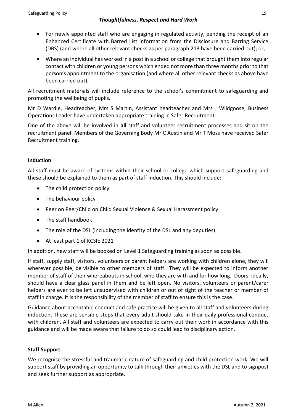- For newly appointed staff who are engaging in regulated activity, pending the receipt of an Enhanced Certificate with Barred List information from the Disclosure and Barring Service (DBS) (and where all other relevant checks as per paragraph 213 have been carried out); or,
- Where an individual has worked in a post in a school or college that brought them into regular contact with children or young persons which ended not more than three months prior to that person's appointment to the organisation (and where all other relevant checks as above have been carried out).

All recruitment materials will include reference to the school's commitment to safeguarding and promoting the wellbeing of pupils.

Mr D Wardle, Headteacher, Mrs S Martin, Assistant headteacher and Mrs J Wildgoose, Business Operations Leader have undertaken appropriate training in Safer Recruitment.

One of the above will be involved in **all** staff and volunteer recruitment processes and sit on the recruitment panel. Members of the Governing Body Mr C Austin and Mr T Moss have received Safer Recruitment training.

# **Induction**

All staff must be aware of systems within their school or college which support safeguarding and these should be explained to them as part of staff induction. This should include:

- The child protection policy
- The behaviour policy
- Peer on Peer/Child on Child Sexual Violence & Sexual Harassment policy
- The staff handbook
- The role of the DSL (including the identity of the DSL and any deputies)
- At least part 1 of KCSIE 2021

In addition, new staff will be booked on Level 1 Safeguarding training as soon as possible.

If staff, supply staff, visitors, volunteers or parent helpers are working with children alone, they will wherever possible, be visible to other members of staff. They will be expected to inform another member of staff of their whereabouts in school, who they are with and for how long. Doors, ideally, should have a clear glass panel in them and be left open. No visitors, volunteers or parent/carer helpers are ever to be left unsupervised with children or out of sight of the teacher or member of staff in charge. It is the responsibility of the member of staff to ensure this is the case.

Guidance about acceptable conduct and safe practice will be given to all staff and volunteers during induction. These are sensible steps that every adult should take in their daily professional conduct with children. All staff and volunteers are expected to carry out their work in accordance with this guidance and will be made aware that failure to do so could lead to disciplinary action.

# **Staff Support**

We recognise the stressful and traumatic nature of safeguarding and child protection work. We will support staff by providing an opportunity to talk through their anxieties with the DSL and to signpost and seek further support as appropriate.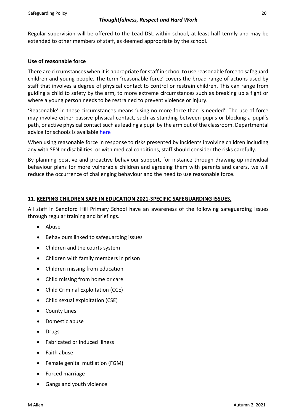Regular supervision will be offered to the Lead DSL within school, at least half-termly and may be extended to other members of staff, as deemed appropriate by the school.

# **Use of reasonable force**

There are circumstances when it is appropriate for staff in school to use reasonable force to safeguard children and young people. The term 'reasonable force' covers the broad range of actions used by staff that involves a degree of physical contact to control or restrain children. This can range from guiding a child to safety by the arm, to more extreme circumstances such as breaking up a fight or where a young person needs to be restrained to prevent violence or injury.

'Reasonable' in these circumstances means 'using no more force than is needed'. The use of force may involve either passive physical contact, such as standing between pupils or blocking a pupil's path, or active physical contact such as leading a pupil by the arm out of the classroom. Departmental advice for schools is available [here](https://www.gov.uk/government/publications/use-of-reasonable-force-in-schools)

When using reasonable force in response to risks presented by incidents involving children including any with SEN or disabilities, or with medical conditions, staff should consider the risks carefully.

By planning positive and proactive behaviour support, for instance through drawing up individual behaviour plans for more vulnerable children and agreeing them with parents and carers, we will reduce the occurrence of challenging behaviour and the need to use reasonable force.

# **11. KEEPING CHILDREN SAFE IN EDUCATION 2021-SPECIFIC SAFEGUARDING ISSUES.**

All staff in Sandford Hill Primary School have an awareness of the following safeguarding issues through regular training and briefings.

- Abuse
- Behaviours linked to safeguarding issues
- Children and the courts system
- Children with family members in prison
- Children missing from education
- Child missing from home or care
- Child Criminal Exploitation (CCE)
- Child sexual exploitation (CSE)
- County Lines
- Domestic abuse
- Drugs
- Fabricated or induced illness
- Faith abuse
- Female genital mutilation (FGM)
- Forced marriage
- Gangs and youth violence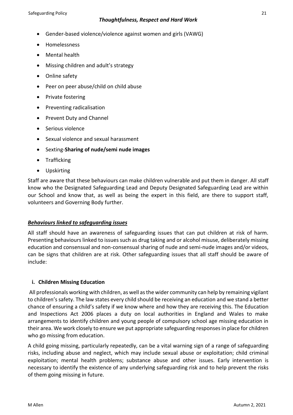- Gender-based violence/violence against women and girls (VAWG)
- Homelessness
- Mental health
- Missing children and adult's strategy
- Online safety
- Peer on peer abuse/child on child abuse
- Private fostering
- Preventing radicalisation
- Prevent Duty and Channel
- Serious violence
- Sexual violence and sexual harassment
- Sexting-**Sharing of nude/semi nude images**
- Trafficking
- Upskirting

Staff are aware that these behaviours can make children vulnerable and put them in danger. All staff know who the Designated Safeguarding Lead and Deputy Designated Safeguarding Lead are within our School and know that, as well as being the expert in this field, are there to support staff, volunteers and Governing Body further.

# *Behaviours linked to safeguarding issues*

All staff should have an awareness of safeguarding issues that can put children at risk of harm. Presenting behaviours linked to issues such as drug taking and or alcohol misuse, deliberately missing education and consensual and non-consensual sharing of nude and semi-nude images and/or videos, can be signs that children are at risk. Other safeguarding issues that all staff should be aware of include:

# **i. Children Missing Education**

All professionals working with children, as well as the wider community can help by remaining vigilant to children's safety. The law states every child should be receiving an education and we stand a better chance of ensuring a child's safety if we know where and how they are receiving this. The Education and Inspections Act 2006 places a duty on local authorities in England and Wales to make arrangements to identify children and young people of compulsory school age missing education in their area. We work closely to ensure we put appropriate safeguarding responses in place for children who go missing from education.

A child going missing, particularly repeatedly, can be a vital warning sign of a range of safeguarding risks, including abuse and neglect, which may include sexual abuse or exploitation; child criminal exploitation; mental health problems; substance abuse and other issues. Early intervention is necessary to identify the existence of any underlying safeguarding risk and to help prevent the risks of them going missing in future.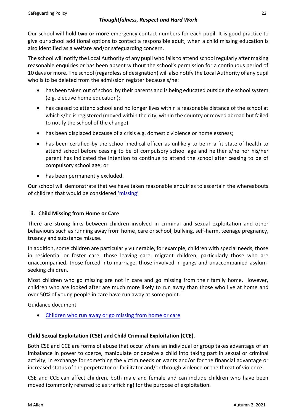Our school will hold **two or more** emergency contact numbers for each pupil. It is good practice to give our school additional options to contact a responsible adult, when a child missing education is also identified as a welfare and/or safeguarding concern.

The school will notify the Local Authority of any pupil who fails to attend school regularly after making reasonable enquiries or has been absent without the school's permission for a continuous period of 10 days or more. The school (regardless of designation) will also notify the Local Authority of any pupil who is to be deleted from the admission register because s/he:

- has been taken out of school by their parents and is being educated outside the school system (e.g. elective home education);
- has ceased to attend school and no longer lives within a reasonable distance of the school at which s/he is registered (moved within the city, within the country or moved abroad but failed to notify the school of the change);
- has been displaced because of a crisis e.g. domestic violence or homelessness;
- has been certified by the school medical officer as unlikely to be in a fit state of health to attend school before ceasing to be of compulsory school age and neither s/he nor his/her parent has indicated the intention to continue to attend the school after ceasing to be of compulsory school age; or
- has been permanently excluded.

Our school will demonstrate that we have taken reasonable enquiries to ascertain the whereabouts of children that would be considered ['missing'](https://www.gov.uk/government/publications/children-missing-education)

# **ii. Child Missing from Home or Care**

There are strong links between children involved in criminal and sexual exploitation and other behaviours such as running away from home, care or school, bullying, self-harm, teenage pregnancy, truancy and substance misuse.

In addition, some children are particularly vulnerable, for example, children with special needs, those in residential or foster care, those leaving care, migrant children, particularly those who are unaccompanied, those forced into marriage, those involved in gangs and unaccompanied asylumseeking children.

Most children who go missing are not in care and go missing from their family home. However, children who are looked after are much more likely to run away than those who live at home and over 50% of young people in care have run away at some point.

Guidance document

• [Children who run away or go missing from home or care](https://www.gov.uk/government/publications/children-who-run-away-or-go-missing-from-home-or-care)

# **Child Sexual Exploitation (CSE) and Child Criminal Exploitation (CCE).**

Both CSE and CCE are forms of abuse that occur where an individual or group takes advantage of an imbalance in power to coerce, manipulate or deceive a child into taking part in sexual or criminal activity, in exchange for something the victim needs or wants and/or for the financial advantage or increased status of the perpetrator or facilitator and/or through violence or the threat of violence.

CSE and CCE can affect children, both male and female and can include children who have been moved (commonly referred to as trafficking) for the purpose of exploitation.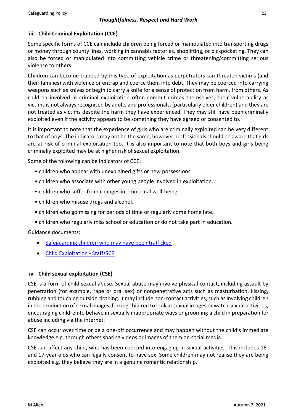# **iii. Child Criminal Exploitation (CCE)**

Some specific forms of CCE can include children being forced or manipulated into transporting drugs or money through county lines, working in cannabis factories, shoplifting, or pickpocketing. They can also be forced or manipulated into committing vehicle crime or threatening/committing serious violence to others.

Children can become trapped by this type of exploitation as perpetrators can threaten victims (and their families) with violence or entrap and coerce them into debt. They may be coerced into carrying weapons such as knives or begin to carry a knife for a sense of protection from harm, from others. As children involved in criminal exploitation often commit crimes themselves, their vulnerability as victims is not always recognised by adults and professionals, (particularly older children) and they are not treated as victims despite the harm they have experienced. They may still have been criminally exploited even if the activity appears to be something they have agreed or consented to.

It is important to note that the experience of girls who are criminally exploited can be very different to that of boys. The indicators may not be the same, however professionals should be aware that girls are at risk of criminal exploitation too. It is also important to note that both boys and girls being criminally exploited may be at higher risk of sexual exploitation.

Some of the following can be indicators of CCE:

- children who appear with unexplained gifts or new possessions.
- children who associate with other young people involved in exploitation.
- children who suffer from changes in emotional well-being.
- children who misuse drugs and alcohol.
- children who go missing for periods of time or regularly come home late.
- children who regularly miss school or education or do not take part in education.

Guidance documents:

- [Safeguarding children who may have been trafficked](https://www.gov.uk/government/publications/safeguarding-children-who-may-have-been-trafficked-practice-guidance)
- [Child Exploitation -](https://www.staffsscb.org.uk/working-together-to-safeguard-children/child-exploitation/) StaffsSCB

# **iv. Child sexual exploitation (CSE)**

CSE is a form of child sexual abuse. Sexual abuse may involve physical contact, including assault by penetration (for example, rape or oral sex) or nonpenetrative acts such as masturbation, kissing, rubbing and touching outside clothing. It may include non-contact activities, such as involving children in the production of sexual images, forcing children to look at sexual images or watch sexual activities, encouraging children to behave in sexually inappropriate ways or grooming a child in preparation for abuse including via the internet.

CSE can occur over time or be a one-off occurrence and may happen without the child's immediate knowledge e.g. through others sharing videos or images of them on social media.

CSE can affect any child, who has been coerced into engaging in sexual activities. This includes 16 and 17-year olds who can legally consent to have sex. Some children may not realise they are being exploited e.g. they believe they are in a genuine romantic relationship.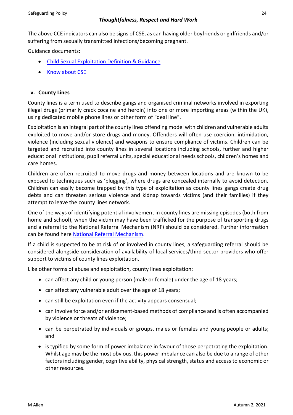The above CCE indicators can also be signs of CSE, as can having older boyfriends or girlfriends and/or suffering from sexually transmitted infections/becoming pregnant.

Guidance documents:

- [Child Sexual Exploitation Definition & Guidance](https://www.google.com/url?sa=t&rct=j&q=&esrc=s&source=web&cd=&cad=rja&uact=8&ved=2ahUKEwiQjKPPusrqAhVjs3EKHehtAFoQFjAEegQIBBAB&url=https%3A%2F%2Fwww.gov.uk%2Fgovernment%2Fpublications%2Fchild-sexual-exploitation-definition-and-guide-for-practitioners&usg=AOvVaw3_SgEJIra33fq4k-9DIegf)
- [Know about CSE](http://www.knowaboutcse.co.uk/)

# **v. County Lines**

County lines is a term used to describe gangs and organised criminal networks involved in exporting illegal drugs (primarily crack cocaine and heroin) into one or more importing areas (within the UK), using dedicated mobile phone lines or other form of "deal line".

Exploitation is an integral part of the county lines offending model with children and vulnerable adults exploited to move and/or store drugs and money. Offenders will often use coercion, intimidation, violence (including sexual violence) and weapons to ensure compliance of victims. Children can be targeted and recruited into county lines in several locations including schools, further and higher educational institutions, pupil referral units, special educational needs schools, children's homes and care homes.

Children are often recruited to move drugs and money between locations and are known to be exposed to techniques such as 'plugging', where drugs are concealed internally to avoid detection. Children can easily become trapped by this type of exploitation as county lines gangs create drug debts and can threaten serious violence and kidnap towards victims (and their families) if they attempt to leave the county lines network.

One of the ways of identifying potential involvement in county lines are missing episodes (both from home and school), when the victim may have been trafficked for the purpose of transporting drugs and a referral to the National Referral Mechanism (NRF) should be considered. Further information can be found here [National Referral Mechanism.](https://assets.publishing.service.gov.uk/government/uploads/system/uploads/attachment_data/file/233310/NRM_child_first_responders_guidance.pdf)

If a child is suspected to be at risk of or involved in county lines, a safeguarding referral should be considered alongside consideration of availability of local services/third sector providers who offer support to victims of county lines exploitation.

Like other forms of abuse and exploitation, county lines exploitation:

- can affect any child or young person (male or female) under the age of 18 years;
- can affect any vulnerable adult over the age of 18 years;
- can still be exploitation even if the activity appears consensual;
- can involve force and/or enticement-based methods of compliance and is often accompanied by violence or threats of violence;
- can be perpetrated by individuals or groups, males or females and young people or adults; and
- is typified by some form of power imbalance in favour of those perpetrating the exploitation. Whilst age may be the most obvious, this power imbalance can also be due to a range of other factors including gender, cognitive ability, physical strength, status and access to economic or other resources.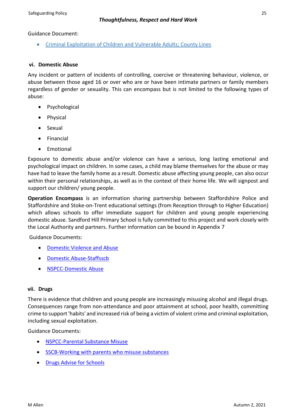Guidance Document:

• [Criminal Exploitation of Children and Vulnerable Adults; County Lines](https://www.gov.uk/government/publications/criminal-exploitation-of-children-and-vulnerable-adults-county-lines)

#### **vi. Domestic Abuse**

Any incident or pattern of incidents of controlling, coercive or threatening behaviour, violence, or abuse between those aged 16 or over who are or have been intimate partners or family members regardless of gender or sexuality. This can encompass but is not limited to the following types of abuse:

- Psychological
- Physical
- Sexual
- Financial
- Emotional

Exposure to domestic abuse and/or violence can have a serious, long lasting emotional and psychological impact on children. In some cases, a child may blame themselves for the abuse or may have had to leave the family home as a result. Domestic abuse affecting young people, can also occur within their personal relationships, as well as in the context of their home life. We will signpost and support our children/ young people.

**Operation Encompass** is an information sharing partnership between Staffordshire Police and Staffordshire and Stoke-on-Trent educational settings (from Reception through to Higher Education) which allows schools to offer immediate support for children and young people experiencing domestic abuse. Sandford Hill Primary School is fully committed to this project and work closely with the Local Authority and partners. Further information can be bound in Appendix 7

Guidance Documents:

- [Domestic Violence and Abuse](https://www.gov.uk/guidance/domestic-violence-and-abuse)
- [Domestic Abuse-Staffsscb](https://www.staffsscb.org.uk/?s=domestic+abuse)
- [NSPCC-Domestic Abuse](https://www.nspcc.org.uk/what-is-child-abuse/types-of-abuse/domestic-abuse/)

#### **vii. Drugs**

There is evidence that children and young people are increasingly misusing alcohol and illegal drugs. Consequences range from non-attendance and poor attainment at school, poor health, committing crime to support 'habits' and increased risk of being a victim of violent crime and criminal exploitation, including sexual exploitation.

Guidance Documents:

- [NSPCC-Parental Substance Misuse](https://learning.nspcc.org.uk/children-and-families-at-risk/parental-substance-misuse)
- [SSCB-Working with parents who misuse substances](https://www.ssscb.org.uk/wp-content/uploads/2020/04/Section-4Q-Working-with-Parents-who-misuse-substances.pdf)
- [Drugs Advise for Schools](https://www.gov.uk/government/publications/drugs-advice-for-schools)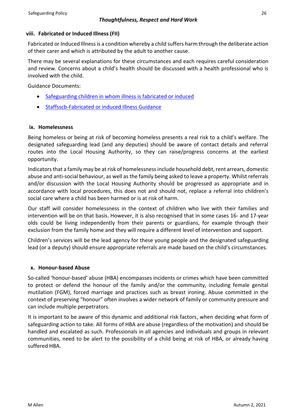# **viii. Fabricated or Induced Illness (FII)**

Fabricated or Induced Illness is a condition whereby a child suffers harm through the deliberate action of their carer and which is attributed by the adult to another cause.

There may be several explanations for these circumstances and each requires careful consideration and review. Concerns about a child's health should be discussed with a health professional who is involved with the child.

Guidance Documents:

- [Safeguarding children in whom illness is fabricated or induced](https://www.gov.uk/government/publications/safeguarding-children-in-whom-illness-is-fabricated-or-induced)
- [Staffsscb-Fabricated or induced Illness Guidance](https://www.staffsscb.org.uk/wp-content/uploads/2020/12/Fabricated-or-Induced-Illness.pdf)

# **ix. Homelessness**

Being homeless or being at risk of becoming homeless presents a real risk to a child's welfare. The designated safeguarding lead (and any deputies) should be aware of contact details and referral routes into the Local Housing Authority, so they can raise/progress concerns at the earliest opportunity.

Indicators that a family may be at risk of homelessness include household debt, rent arrears, domestic abuse and anti-social behaviour, as well as the family being asked to leave a property. Whilst referrals and/or discussion with the Local Housing Authority should be progressed as appropriate and in accordance with local procedures, this does not and should not, replace a referral into children's social care where a child has been harmed or is at risk of harm.

Our staff will consider homelessness in the context of children who live with their families and intervention will be on that basis. However, it is also recognised that in some cases 16- and 17-year olds could be living independently from their parents or guardians, for example through their exclusion from the family home and they will require a different level of intervention and support.

Children's services will be the lead agency for these young people and the designated safeguarding lead (or a deputy) should ensure appropriate referrals are made based on the child's circumstances.

# **x. Honour-based Abuse**

So-called 'honour-based' abuse (HBA) encompasses incidents or crimes which have been committed to protect or defend the honour of the family and/or the community, including female genital mutilation (FGM), forced marriage and practices such as breast ironing. Abuse committed in the context of preserving "honour" often involves a wider network of family or community pressure and can include multiple perpetrators.

It is important to be aware of this dynamic and additional risk factors, when deciding what form of safeguarding action to take. All forms of HBA are abuse (regardless of the motivation) and should be handled and escalated as such. Professionals in all agencies and individuals and groups in relevant communities, need to be alert to the possibility of a child being at risk of HBA, or already having suffered HBA.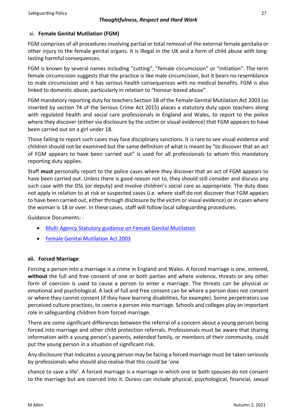# xi. **Female Genital Mutilation (FGM)**

FGM comprises of all procedures involving partial or total removal of the external female genitalia or other injury to the female genital organs. It is illegal in the UK and a form of child abuse with longlasting harmful consequences.

FGM is known by several names including "cutting", "female circumcision" or "initiation". The term female circumcision suggests that the practice is like male circumcision, but it bears no resemblance to male circumcision and it has serious health consequences with no medical benefits. FGM is also linked to domestic abuse, particularly in relation to "honour-based abuse".

FGM mandatory reporting duty for teachers Section 5B of the Female Genital Mutilation Act 2003 (as inserted by section 74 of the Serious Crime Act 2015) places a statutory duty upon teachers along with regulated health and social care professionals in England and Wales, to report to the police where they discover (either via disclosure by the victim or visual evidence) that FGM appears to have been carried out on a girl under 18.

Those failing to report such cases may face disciplinary sanctions. It is rare to see visual evidence and children should not be examined but the same definition of what is meant by "to discover that an act of FGM appears to have been carried out" is used for all professionals to whom this mandatory reporting duty applies.

Staff **must** personally report to the police cases where they discover that an act of FGM appears to have been carried out. Unless there is good reason not to, they should still consider and discuss any such case with the DSL (or deputy) and involve children's social care as appropriate. The duty does not apply in relation to at risk or suspected cases (i.e. where staff do not discover that FGM appears to have been carried out, either through disclosure by the victim or visual evidence) or in cases where the woman is 18 or over. In these cases, staff will follow local safeguarding procedures.

Guidance Documents: -

- [Multi Agency Statutory guidance on Female Genital Mutilation](https://www.gov.uk/government/publications/multi-agency-statutory-guidance-on-female-genital-mutilation)
- [Female Genital Mutilation Act 2003](https://www.gov.uk/government/publications/mandatory-reporting-of-female-genital-mutilation-procedural-information)

# **xii. Forced Marriage**

Forcing a person into a marriage is a crime in England and Wales. A forced marriage is one, entered, **without** the full and free consent of one or both parties and where violence, threats or any other form of coercion is used to cause a person to enter a marriage. The threats can be physical or emotional and psychological. A lack of full and free consent can be where a person does not consent or where they cannot consent (if they have learning disabilities, for example). Some perpetrators use perceived culture practices, to coerce a person into marriage. Schools and colleges play an important role in safeguarding children from forced marriage.

There are some significant differences between the referral of a concern about a young person being forced into marriage and other child protection referrals. Professionals must be aware that sharing information with a young person's parents, extended family, or members of their community, could put the young person in a situation of significant risk.

Any disclosure that indicates a young person may be facing a forced marriage must be taken seriously by professionals who should also realise that this could be 'one

chance to save a life'. A forced marriage is a marriage in which one or both spouses do not consent to the marriage but are coerced into it. Duress can include physical, psychological, financial, sexual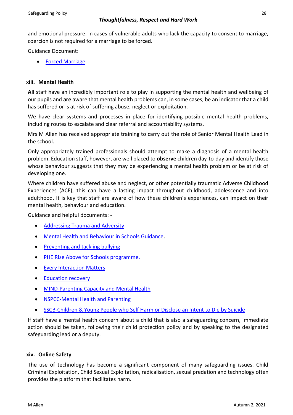and emotional pressure. In cases of vulnerable adults who lack the capacity to consent to marriage, coercion is not required for a marriage to be forced.

Guidance Document:

• [Forced Marriage](https://www.gov.uk/guidance/forced-marriage)

#### **xiii. Mental Health**

**All** staff have an incredibly important role to play in supporting the mental health and wellbeing of our pupils and **are** aware that mental health problems can, in some cases, be an indicator that a child has suffered or is at risk of suffering abuse, neglect or exploitation.

We have clear systems and processes in place for identifying possible mental health problems, including routes to escalate and clear referral and accountability systems.

Mrs M Allen has received appropriate training to carry out the role of Senior Mental Health Lead in the school.

Only appropriately trained professionals should attempt to make a diagnosis of a mental health problem. Education staff, however, are well placed to **observe** children day-to-day and identify those whose behaviour suggests that they may be experiencing a mental health problem or be at risk of developing one.

Where children have suffered abuse and neglect, or other potentially traumatic Adverse Childhood Experiences (ACE), this can have a lasting impact throughout childhood, adolescence and into adulthood. It is key that staff are aware of how these children's experiences, can impact on their mental health, behaviour and education.

Guidance and helpful documents: -

- [Addressing Trauma and Adversity](https://www.youngminds.org.uk/professional/resources/addressing-trauma-and-adversity/?gclid=EAIaIQobChMI85GHo_W08gIVn4BQBh2y8AdUEAAYASAAEgLU9fD_BwE)
- [Mental Health and Behaviour in Schools Guidance.](https://assets.publishing.service.gov.uk/government/uploads/system/uploads/attachment_data/file/755135/Mental_health_and_behaviour_in_schools__.pdf)
- [Preventing and tackling bullying](https://assets.publishing.service.gov.uk/government/uploads/system/uploads/attachment_data/file/623895/Preventing_and_tackling_bullying_advice.pdf)
- [PHE Rise Above for Schools programme.](https://staffordshire-my.sharepoint.com/personal/viki_hulme_staffordshire_gov_uk/Documents/Documents/PHE%20launches%20Rise%20Above%20for%20Schools%20programme%20-%20GOV.UK%20(www.gov.uk))
- [Every Interaction Matters](https://www.minded.org.uk/Component/Details/685525)
- [Education recovery](https://assets.publishing.service.gov.uk/government/uploads/system/uploads/attachment_data/file/993053/Education_recovery_support_June-2021.pdf)
- **[MIND-Parenting Capacity and Mental Health](https://www.mind.org.uk/information-support/tips-for-everyday-living/parenting-with-a-mental-health-problem/parenting-and-mental-health/)**
- [NSPCC-Mental Health and Parenting](https://www.nspcc.org.uk/keeping-children-safe/support-for-parents/mental-health-parenting/)
- [SSCB-Children & Young People who Self Harm or Disclose an Intent to Die by Suicide](https://www.ssscb.org.uk/wp-content/uploads/2020/04/Section-4U-Children-and-Young-People-who-Self-Harm-or-Disclose-an-Intent-to-Die-by-Suicide.docx)

If staff have a mental health concern about a child that is also a safeguarding concern, immediate action should be taken, following their child protection policy and by speaking to the designated safeguarding lead or a deputy.

#### **xiv. Online Safety**

The use of technology has become a significant component of many safeguarding issues. Child Criminal Exploitation, Child Sexual Exploitation, radicalisation, sexual predation and technology often provides the platform that facilitates harm.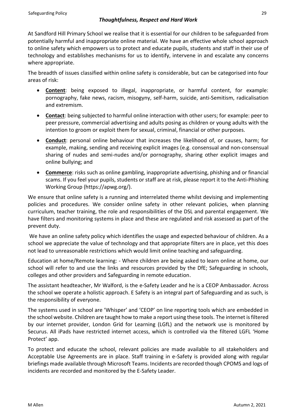At Sandford Hill Primary School we realise that it is essential for our children to be safeguarded from potentially harmful and inappropriate online material. We have an effective whole school approach to online safety which empowers us to protect and educate pupils, students and staff in their use of technology and establishes mechanisms for us to identify, intervene in and escalate any concerns where appropriate.

The breadth of issues classified within online safety is considerable, but can be categorised into four areas of risk:

- **Content**: being exposed to illegal, inappropriate, or harmful content, for example: pornography, fake news, racism, misogyny, self-harm, suicide, anti-Semitism, radicalisation and extremism.
- **Contact**: being subjected to harmful online interaction with other users; for example: peer to peer pressure, commercial advertising and adults posing as children or young adults with the intention to groom or exploit them for sexual, criminal, financial or other purposes.
- **Conduct**: personal online behaviour that increases the likelihood of, or causes, harm; for example, making, sending and receiving explicit images (e.g. consensual and non-consensual sharing of nudes and semi-nudes and/or pornography, sharing other explicit images and online bullying; and
- **Commerce**: risks such as online gambling, inappropriate advertising, phishing and or financial scams. If you feel your pupils, students or staff are at risk, please report it to the Anti-Phishing Working Group (https://apwg.org/).

We ensure that online safety is a running and interrelated theme whilst devising and implementing policies and procedures. We consider online safety in other relevant policies, when planning curriculum, teacher training, the role and responsibilities of the DSL and parental engagement. We have filters and monitoring systems in place and these are regulated and risk assessed as part of the prevent duty.

We have an online safety policy which identifies the usage and expected behaviour of children. As a school we appreciate the value of technology and that appropriate filters are in place, yet this does not lead to unreasonable restrictions which would limit online teaching and safeguarding.

Education at home/Remote learning: - Where children are being asked to learn online at home, our school will refer to and use the links and resources provided by the DfE; Safeguarding in schools, colleges and other providers and Safeguarding in remote education.

The assistant headteacher, Mr Walford, is the e-Safety Leader and he is a CEOP Ambassador. Across the school we operate a holistic approach. E Safety is an integral part of Safeguarding and as such, is the responsibility of everyone.

The systems used in school are 'Whisper' and 'CEOP' on line reporting tools which are embedded in the school website. Children are taught how to make a report using these tools. The internet is filtered by our internet provider, London Grid for Learning (LGfL) and the network use is monitored by Securus. All iPads have restricted internet access, which is controlled via the filtered LGFL 'Home Protect' app.

To protect and educate the school, relevant policies are made available to all stakeholders and Acceptable Use Agreements are in place. Staff training in e-Safety is provided along with regular briefings made available through Microsoft Teams. Incidents are recorded though CPOMS and logs of incidents are recorded and monitored by the E-Safety Leader.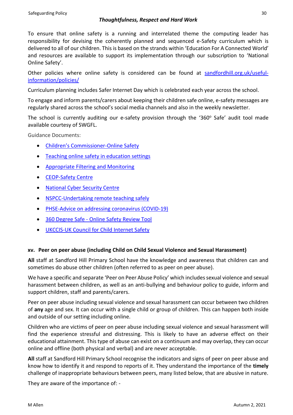To ensure that online safety is a running and interrelated theme the computing leader has responsibility for devising the coherently planned and sequenced e-Safety curriculum which is delivered to all of our children. This is based on the strands within 'Education For A Connected World' and resources are available to support its implementation through our subscription to 'National Online Safety'.

Other policies where online safety is considered can be found at [sandfordhill.org.uk/useful](https://sandfordhill.org.uk/useful-information/policies/)[information/policies/](https://sandfordhill.org.uk/useful-information/policies/)

Curriculum planning includes Safer Internet Day which is celebrated each year across the school.

To engage and inform parents/carers about keeping their children safe online, e-safety messages are regularly shared across the school's social media channels and also in the weekly newsletter.

The school is currently auditing our e-safety provision through the '360 $^{\circ}$  Safe' audit tool made available courtesy of SWGFL.

Guidance Documents:

- [Children's Commissioner](https://www.childrenscommissioner.gov.uk/?s=online+safety)-Online Safety
- [Teaching online safety in education settings](https://assets.publishing.service.gov.uk/government/uploads/system/uploads/attachment_data/file/811796/Teaching_online_safety_in_school.pdf)
- [Appropriate Filtering and Monitoring](https://www.saferinternet.org.uk/advice-centre/teachers-and-school-staff/appropriate-filtering-and-monitoring)
- [CEOP-Safety Centre](https://www.ceop.police.uk/Safety-Centre/)
- [National Cyber Security Centre](https://www.ncsc.gov.uk/)
- [NSPCC-Undertaking remote teaching safely](https://learning.nspcc.org.uk/news/covid/undertaking-remote-teaching-safely)
- [PHSE-Advice on addressing coronavirus \(COVID-19\)](https://www.pshe-association.org.uk/advice-addressing-coronavirus-covid-19-pshe)
- 360 Degree Safe [Online Safety Review Tool](https://swgfl.org.uk/products/360-degree-safe/)
- [UKCCIS-UK Council for Child Internet Safety](https://www.gov.uk/government/groups/uk-council-for-child-internet-safety-ukccis)

# **xv. Peer on peer abuse (including Child on Child Sexual Violence and Sexual Harassment)**

**All** staff at Sandford Hill Primary School have the knowledge and awareness that children can and sometimes do abuse other children (often referred to as peer on peer abuse).

We have a specific and separate 'Peer on Peer Abuse Policy' which includes sexual violence and sexual harassment between children, as well as an anti-bullying and behaviour policy to guide, inform and support children, staff and parents/carers.

Peer on peer abuse including sexual violence and sexual harassment can occur between two children of **any** age and sex. It can occur with a single child or group of children. This can happen both inside and outside of our setting including online.

Children who are victims of peer on peer abuse including sexual violence and sexual harassment will find the experience stressful and distressing. This is likely to have an adverse effect on their educational attainment. This type of abuse can exist on a continuum and may overlap, they can occur online and offline (both physical and verbal) and are never acceptable.

**All** staff at Sandford Hill Primary School recognise the indicators and signs of peer on peer abuse and know how to identify it and respond to reports of it. They understand the importance of the **timely** challenge of inappropriate behaviours between peers, many listed below, that are abusive in nature.

They are aware of the importance of: -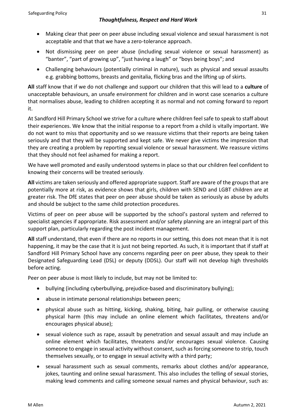- Making clear that peer on peer abuse including sexual violence and sexual harassment is not acceptable and that that we have a zero-tolerance approach.
- Not dismissing peer on peer abuse (including sexual violence or sexual harassment) as "banter", "part of growing up", "just having a laugh" or "boys being boys"; and
- Challenging behaviours (potentially criminal in nature), such as physical and sexual assaults e.g. grabbing bottoms, breasts and genitalia, flicking bras and the lifting up of skirts.

**All** staff know that if we do not challenge and support our children that this will lead to a **culture** of unacceptable behaviours, an unsafe environment for children and in worst case scenarios a culture that normalises abuse, leading to children accepting it as normal and not coming forward to report it.

At Sandford Hill Primary School we strive for a culture where children feel safe to speak to staff about their experiences. We know that the initial response to a report from a child is vitally important. We do not want to miss that opportunity and so we reassure victims that their reports are being taken seriously and that they will be supported and kept safe. We never give victims the impression that they are creating a problem by reporting sexual violence or sexual harassment. We reassure victims that they should not feel ashamed for making a report.

We have well promoted and easily understood systems in place so that our children feel confident to knowing their concerns will be treated seriously.

**All** victims are taken seriously and offered appropriate support. Staff are aware of the groups that are potentially more at risk, as evidence shows that girls, children with SEND and LGBT children are at greater risk. The DfE states that peer on peer abuse should be taken as seriously as abuse by adults and should be subject to the same child protection procedures.

Victims of peer on peer abuse will be supported by the school's pastoral system and referred to specialist agencies if appropriate. Risk assessment and/or safety planning are an integral part of this support plan, particularly regarding the post incident management.

**All** staff understand, that even if there are no reports in our setting, this does not mean that it is not happening, it may be the case that it is just not being reported. As such, it is important that if staff at Sandford Hill Primary School have any concerns regarding peer on peer abuse, they speak to their Designated Safeguarding Lead (DSL) or deputy (DDSL). Our staff will not develop high thresholds before acting.

Peer on peer abuse is most likely to include, but may not be limited to:

- bullying (including cyberbullying, prejudice-based and discriminatory bullying);
- abuse in intimate personal relationships between peers;
- physical abuse such as hitting, kicking, shaking, biting, hair pulling, or otherwise causing physical harm (this may include an online element which facilitates, threatens and/or encourages physical abuse);
- sexual violence such as rape, assault by penetration and sexual assault and may include an online element which facilitates, threatens and/or encourages sexual violence. Causing someone to engage in sexual activity without consent, such as forcing someone to strip, touch themselves sexually, or to engage in sexual activity with a third party;
- sexual harassment such as sexual comments, remarks about clothes and/or appearance, jokes, taunting and online sexual harassment. This also includes the telling of sexual stories, making lewd comments and calling someone sexual names and physical behaviour, such as: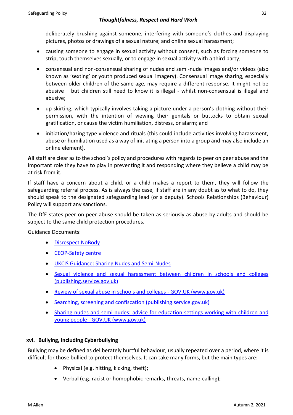deliberately brushing against someone, interfering with someone's clothes and displaying pictures, photos or drawings of a sexual nature; and online sexual harassment;

- causing someone to engage in sexual activity without consent, such as forcing someone to strip, touch themselves sexually, or to engage in sexual activity with a third party;
- consensual and non-consensual sharing of nudes and semi-nude images and/or videos (also known as 'sexting' or youth produced sexual imagery). Consensual image sharing, especially between older children of the same age, may require a different response. It might not be abusive – but children still need to know it is illegal - whilst non-consensual is illegal and abusive;
- up-skirting, which typically involves taking a picture under a person's clothing without their permission, with the intention of viewing their genitals or buttocks to obtain sexual gratification, or cause the victim humiliation, distress, or alarm; and
- initiation/hazing type violence and rituals (this could include activities involving harassment, abuse or humiliation used as a way of initiating a person into a group and may also include an online element).

**All** staff are clear as to the school's policy and procedures with regards to peer on peer abuse and the important role they have to play in preventing it and responding where they believe a child may be at risk from it.

If staff have a concern about a child, or a child makes a report to them, they will follow the safeguarding referral process. As is always the case, if staff are in any doubt as to what to do, they should speak to the designated safeguarding lead (or a deputy). Schools Relationships (Behaviour) Policy will support any sanctions.

The DfE states peer on peer abuse should be taken as seriously as abuse by adults and should be subject to the same child protection procedures.

Guidance Documents:

- [Disrespect NoBody](https://www.disrespectnobody.co.uk/)
- [CEOP-Safety centre](https://www.ceop.police.uk/Safety-Centre/)
- [UKCIS Guidance: Sharing Nudes and Semi-Nudes](https://oursaferschools.co.uk/2021/01/13/ukcis/)
- [Sexual violence and sexual harassment between children in schools and colleges](https://assets.publishing.service.gov.uk/government/uploads/system/uploads/attachment_data/file/999239/SVSH_2021.pdf)  [\(publishing.service.gov.uk\)](https://assets.publishing.service.gov.uk/government/uploads/system/uploads/attachment_data/file/999239/SVSH_2021.pdf)
- Review of sexual abuse in schools and colleges GOV.UK (www.gov.uk)
- [Searching, screening and confiscation \(publishing.service.gov.uk\)](https://assets.publishing.service.gov.uk/government/uploads/system/uploads/attachment_data/file/674416/Searching_screening_and_confiscation.pdf)
- Sharing nudes and semi-nudes: advice for education settings working with children and young people - GOV.UK (www.gov.uk)

# **xvi. Bullying, including Cyberbullying**

Bullying may be defined as deliberately hurtful behaviour, usually repeated over a period, where it is difficult for those bullied to protect themselves. It can take many forms, but the main types are:

- Physical (e.g. hitting, kicking, theft);
- Verbal (e.g. racist or homophobic remarks, threats, name-calling);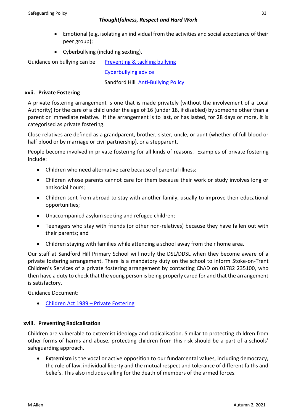- Emotional (e.g. isolating an individual from the activities and social acceptance of their peer group);
- Cyberbullying (including sexting).

Guidance on bullying can be [Preventing & tackling bullying](https://www.gov.uk/government/publications/preventing-and-tackling-bullying) [Cyberbullying advice](https://assets.publishing.service.gov.uk/government/uploads/system/uploads/attachment_data/file/374850/Cyberbullying_Advice_for_Headteachers_and_School_Staff_121114.pdf)

Sandford Hill [Anti-Bullying Policy](https://sandfordhill.org.uk/wp-content/uploads/2020/11/SH-Anti-Bullying-Policy-2020-1.pdf)

# **xvii. Private Fostering**

A private fostering arrangement is one that is made privately (without the involvement of a Local Authority) for the care of a child under the age of 16 (under 18, if disabled) by someone other than a parent or immediate relative. If the arrangement is to last, or has lasted, for 28 days or more, it is categorised as private fostering.

Close relatives are defined as a grandparent, brother, sister, uncle, or aunt (whether of full blood or half blood or by marriage or civil partnership), or a stepparent.

People become involved in private fostering for all kinds of reasons. Examples of private fostering include:

- Children who need alternative care because of parental illness;
- Children whose parents cannot care for them because their work or study involves long or antisocial hours;
- Children sent from abroad to stay with another family, usually to improve their educational opportunities;
- Unaccompanied asylum seeking and refugee children;
- Teenagers who stay with friends (or other non-relatives) because they have fallen out with their parents; and
- Children staying with families while attending a school away from their home area.

Our staff at Sandford Hill Primary School will notify the DSL/DDSL when they become aware of a private fostering arrangement. There is a mandatory duty on the school to inform Stoke-on-Trent Children's Services of a private fostering arrangement by contacting ChAD on 01782 235100, who then have a duty to check that the young person is being properly cared for and that the arrangement is satisfactory.

Guidance Document:

• [Children Act 1989](https://www.gov.uk/government/publications/children-act-1989-private-fostering) – Private Fostering

# **xviii. Preventing Radicalisation**

Children are vulnerable to extremist ideology and radicalisation. Similar to protecting children from other forms of harms and abuse, protecting children from this risk should be a part of a schools' safeguarding approach.

**Extremism** is the vocal or active opposition to our fundamental values, including democracy, the rule of law, individual liberty and the mutual respect and tolerance of different faiths and beliefs. This also includes calling for the death of members of the armed forces.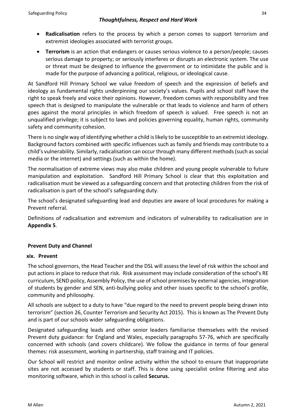- **Radicalisation** refers to the process by which a person comes to support terrorism and extremist ideologies associated with terrorist groups.
- **Terrorism** is an action that endangers or causes serious violence to a person/people; causes serious damage to property; or seriously interferes or disrupts an electronic system. The use or threat must be designed to influence the government or to intimidate the public and is made for the purpose of advancing a political, religious, or ideological cause.

At Sandford Hill Primary School we value freedom of speech and the expression of beliefs and ideology as fundamental rights underpinning our society's values. Pupils and school staff have the right to speak freely and voice their opinions. However, freedom comes with responsibility and free speech that is designed to manipulate the vulnerable or that leads to violence and harm of others goes against the moral principles in which freedom of speech is valued. Free speech is not an unqualified privilege; it is subject to laws and policies governing equality, human rights, community safety and community cohesion.

There is no single way of identifying whether a child is likely to be susceptible to an extremist ideology. Background factors combined with specific influences such as family and friends may contribute to a child's vulnerability. Similarly, radicalisation can occur through many different methods (such as social media or the internet) and settings (such as within the home).

The normalisation of extreme views may also make children and young people vulnerable to future manipulation and exploitation. Sandford Hill Primary School is clear that this exploitation and radicalisation must be viewed as a safeguarding concern and that protecting children from the risk of radicalisation is part of the school's safeguarding duty.

The school's designated safeguarding lead and deputies are aware of local procedures for making a Prevent referral.

Definitions of radicalisation and extremism and indicators of vulnerability to radicalisation are in **Appendix 5**.

# **Prevent Duty and Channel**

#### **xix. Prevent**

The school governors, the Head Teacher and the DSL will assess the level of risk within the school and put actions in place to reduce that risk. Risk assessment may include consideration of the school's RE curriculum, SEND policy, Assembly Policy, the use of school premises by external agencies, integration of students by gender and SEN, anti-bullying policy and other issues specific to the school's profile, community and philosophy.

All schools are subject to a duty to have "due regard to the need to prevent people being drawn into terrorism" (section 26, Counter Terrorism and Security Act 2015). This is known as The Prevent Duty and is part of our schools wider safeguarding obligations.

Designated safeguarding leads and other senior leaders familiarise themselves with the revised Prevent duty guidance: for England and Wales, especially paragraphs 57-76, which are specifically concerned with schools (and covers childcare). We follow the guidance in terms of four general themes: risk assessment, working in partnership, staff training and IT policies.

Our School will restrict and monitor online activity within the school to ensure that inappropriate sites are not accessed by students or staff. This is done using specialist online filtering and also monitoring software, which in this school is called **Securus.**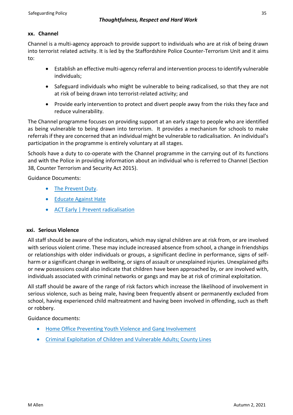# **xx. Channel**

Channel is a multi-agency approach to provide support to individuals who are at risk of being drawn into terrorist related activity. It is led by the Staffordshire Police Counter-Terrorism Unit and it aims to:

- Establish an effective multi-agency referral and intervention process to identify vulnerable individuals;
- Safeguard individuals who might be vulnerable to being radicalised, so that they are not at risk of being drawn into terrorist-related activity; and
- Provide early intervention to protect and divert people away from the risks they face and reduce vulnerability.

The Channel programme focuses on providing support at an early stage to people who are identified as being vulnerable to being drawn into terrorism. It provides a mechanism for schools to make referrals if they are concerned that an individual might be vulnerable to radicalisation. An individual's participation in the programme is entirely voluntary at all stages.

Schools have a duty to co-operate with the Channel programme in the carrying out of its functions and with the Police in providing information about an individual who is referred to Channel (Section 38, Counter Terrorism and Security Act 2015).

Guidance Documents:

- [The Prevent Duty.](https://www.gov.uk/government/publications/protecting-children-from-radicalisation-the-prevent-duty)
- [Educate Against Hate](https://educateagainsthate.com/)
- [ACT Early | Prevent radicalisation](https://actearly.uk/)

# **xxi. Serious Violence**

All staff should be aware of the indicators, which may signal children are at risk from, or are involved with serious violent crime. These may include increased absence from school, a change in friendships or relationships with older individuals or groups, a significant decline in performance, signs of selfharm or a significant change in wellbeing, or signs of assault or unexplained injuries. Unexplained gifts or new possessions could also indicate that children have been approached by, or are involved with, individuals associated with criminal networks or gangs and may be at risk of criminal exploitation.

All staff should be aware of the range of risk factors which increase the likelihood of involvement in serious violence, such as being male, having been frequently absent or permanently excluded from school, having experienced child maltreatment and having been involved in offending, such as theft or robbery.

Guidance documents:

- [Home Office Preventing Youth Violence and Gang Involvement](https://www.gov.uk/government/publications/advice-to-schools-and-colleges-on-gangs-and-youth-violence)
- [Criminal Exploitation of Children and Vulnerable Adults; County Lines](https://www.gov.uk/government/publications/criminal-exploitation-of-children-and-vulnerable-adults-county-lines)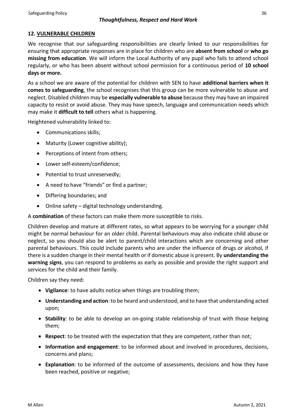# **12. VULNERABLE CHILDREN**

We recognise that our safeguarding responsibilities are clearly linked to our responsibilities for ensuring that appropriate responses are in place for children who are **absent from school** or **who go missing from education**. We will inform the Local Authority of any pupil who fails to attend school regularly, or who has been absent without school permission for a continuous period of **10 school days or more.**

As a school we are aware of the potential for children with SEN to have **additional barriers when it comes to safeguarding**, the school recognises that this group can be more vulnerable to abuse and neglect. Disabled children may be **especially vulnerable to abuse** because they may have an impaired capacity to resist or avoid abuse. They may have speech, language and communication needs which may make it **difficult to tell** others what is happening.

Heightened vulnerability linked to:

- Communications skills;
- Maturity (Lower cognitive ability);
- Perceptions of intent from others;
- Lower self-esteem/confidence;
- Potential to trust unreservedly;
- A need to have "friends" or find a partner;
- Differing boundaries; and
- Online safety digital technology understanding.

A **combination** of these factors can make them more susceptible to risks.

Children develop and mature at different rates, so what appears to be worrying for a younger child might be normal behaviour for an older child. Parental behaviours may also indicate child abuse or neglect, so you should also be alert to parent/child interactions which are concerning and other parental behaviours. This could include parents who are under the influence of drugs or alcohol, if there is a sudden change in their mental health or if domestic abuse is present. By **understanding the warning signs**, you can respond to problems as early as possible and provide the right support and services for the child and their family.

Children say they need:

- **Vigilance**: to have adults notice when things are troubling them;
- **Understanding and action**: to be heard and understood; and to have that understanding acted upon;
- **Stability**: to be able to develop an on-going stable relationship of trust with those helping them;
- **Respect**: to be treated with the expectation that they are competent, rather than not;
- **Information and engagement**: to be informed about and involved in procedures, decisions, concerns and plans;
- **Explanation**: to be informed of the outcome of assessments, decisions and how they have been reached, positive or negative;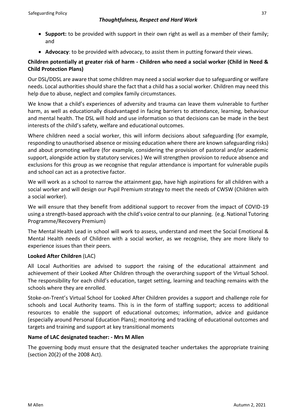- **Support:** to be provided with support in their own right as well as a member of their family; and
- **Advocacy**: to be provided with advocacy, to assist them in putting forward their views.

# **Children potentially at greater risk of harm - Children who need a social worker (Child in Need & Child Protection Plans)**

Our DSL/DDSL are aware that some children may need a social worker due to safeguarding or welfare needs. Local authorities should share the fact that a child has a social worker. Children may need this help due to abuse, neglect and complex family circumstances.

We know that a child's experiences of adversity and trauma can leave them vulnerable to further harm, as well as educationally disadvantaged in facing barriers to attendance, learning, behaviour and mental health. The DSL will hold and use information so that decisions can be made in the best interests of the child's safety, welfare and educational outcomes.

Where children need a social worker, this will inform decisions about safeguarding (for example, responding to unauthorised absence or missing education where there are known safeguarding risks) and about promoting welfare (for example, considering the provision of pastoral and/or academic support, alongside action by statutory services.) We will strengthen provision to reduce absence and exclusions for this group as we recognise that regular attendance is important for vulnerable pupils and school can act as a protective factor.

We will work as a school to narrow the attainment gap, have high aspirations for all children with a social worker and will design our Pupil Premium strategy to meet the needs of CWSW (Children with a social worker).

We will ensure that they benefit from additional support to recover from the impact of COVID-19 using a strength-based approach with the child's voice central to our planning. (e.g. National Tutoring Programme/Recovery Premium)

The Mental Health Lead in school will work to assess, understand and meet the Social Emotional & Mental Health needs of Children with a social worker, as we recognise, they are more likely to experience issues than their peers.

# **Looked After Children** (LAC)

All Local Authorities are advised to support the raising of the educational attainment and achievement of their Looked After Children through the overarching support of the Virtual School. The responsibility for each child's education, target setting, learning and teaching remains with the schools where they are enrolled.

Stoke-on-Trent's Virtual School for Looked After Children provides a support and challenge role for schools and Local Authority teams. This is in the form of staffing support; access to additional resources to enable the support of educational outcomes; information, advice and guidance (especially around Personal Education Plans); monitoring and tracking of educational outcomes and targets and training and support at key transitional moments

# **Name of LAC designated teacher: - Mrs M Allen**

The governing body must ensure that the designated teacher undertakes the appropriate training (section 20(2) of the 2008 Act).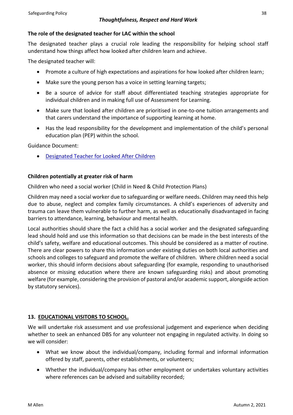# **The role of the designated teacher for LAC within the school**

The designated teacher plays a crucial role leading the responsibility for helping school staff understand how things affect how looked after children learn and achieve.

The designated teacher will:

- Promote a culture of high expectations and aspirations for how looked after children learn;
- Make sure the young person has a voice in setting learning targets;
- Be a source of advice for staff about differentiated teaching strategies appropriate for individual children and in making full use of Assessment for Learning.
- Make sure that looked after children are prioritised in one-to-one tuition arrangements and that carers understand the importance of supporting learning at home.
- Has the lead responsibility for the development and implementation of the child's personal education plan (PEP) within the school.

Guidance Document:

• [Designated Teacher for Looked After Children](https://www.gov.uk/government/publications/designated-teacher-for-looked-after-children)

# **Children potentially at greater risk of harm**

Children who need a social worker (Child in Need & Child Protection Plans)

Children may need a social worker due to safeguarding or welfare needs. Children may need this help due to abuse, neglect and complex family circumstances. A child's experiences of adversity and trauma can leave them vulnerable to further harm, as well as educationally disadvantaged in facing barriers to attendance, learning, behaviour and mental health.

Local authorities should share the fact a child has a social worker and the designated safeguarding lead should hold and use this information so that decisions can be made in the best interests of the child's safety, welfare and educational outcomes. This should be considered as a matter of routine. There are clear powers to share this information under existing duties on both local authorities and schools and colleges to safeguard and promote the welfare of children. Where children need a social worker, this should inform decisions about safeguarding (for example, responding to unauthorised absence or missing education where there are known safeguarding risks) and about promoting welfare (for example, considering the provision of pastoral and/or academic support, alongside action by statutory services).

# **13. EDUCATIONAL VISITORS TO SCHOOL.**

We will undertake risk assessment and use professional judgement and experience when deciding whether to seek an enhanced DBS for any volunteer not engaging in regulated activity. In doing so we will consider:

- What we know about the individual/company, including formal and informal information offered by staff, parents, other establishments, or volunteers;
- Whether the individual/company has other employment or undertakes voluntary activities where references can be advised and suitability recorded;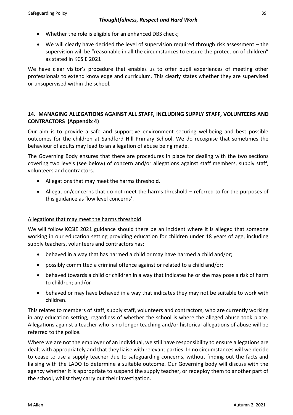- Whether the role is eligible for an enhanced DBS check;
- We will clearly have decided the level of supervision required through risk assessment the supervision will be "reasonable in all the circumstances to ensure the protection of children" as stated in KCSIE 2021

We have clear visitor's procedure that enables us to offer pupil experiences of meeting other professionals to extend knowledge and curriculum. This clearly states whether they are supervised or unsupervised within the school.

# **14. MANAGING ALLEGATIONS AGAINST ALL STAFF, INCLUDING SUPPLY STAFF, VOLUNTEERS AND CONTRACTORS (Appendix 4)**

Our aim is to provide a safe and supportive environment securing wellbeing and best possible outcomes for the children at Sandford Hill Primary School. We do recognise that sometimes the behaviour of adults may lead to an allegation of abuse being made.

The Governing Body ensures that there are procedures in place for dealing with the two sections covering two levels (see below) of concern and/or allegations against staff members, supply staff, volunteers and contractors.

- Allegations that may meet the harms threshold.
- Allegation/concerns that do not meet the harms threshold referred to for the purposes of this guidance as 'low level concerns'.

# Allegations that may meet the harms threshold

We will follow KCSIE 2021 guidance should there be an incident where it is alleged that someone working in our education setting providing education for children under 18 years of age, including supply teachers, volunteers and contractors has:

- behaved in a way that has harmed a child or may have harmed a child and/or;
- possibly committed a criminal offence against or related to a child and/or;
- behaved towards a child or children in a way that indicates he or she may pose a risk of harm to children; and/or
- behaved or may have behaved in a way that indicates they may not be suitable to work with children.

This relates to members of staff, supply staff, volunteers and contractors, who are currently working in any education setting, regardless of whether the school is where the alleged abuse took place. Allegations against a teacher who is no longer teaching and/or historical allegations of abuse will be referred to the police.

Where we are not the employer of an individual, we still have responsibility to ensure allegations are dealt with appropriately and that they liaise with relevant parties. In no circumstances will we decide to cease to use a supply teacher due to safeguarding concerns, without finding out the facts and liaising with the LADO to determine a suitable outcome. Our Governing body will discuss with the agency whether it is appropriate to suspend the supply teacher, or redeploy them to another part of the school, whilst they carry out their investigation.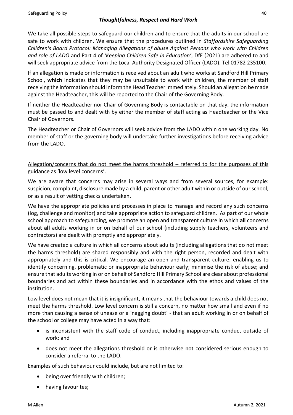We take all possible steps to safeguard our children and to ensure that the adults in our school are safe to work with children. We ensure that the procedures outlined in *Staffordshire Safeguarding Children's Board Protocol: Managing Allegations of abuse Against Persons who work with Children and role of LADO* and Part 4 of *'Keeping Children Safe in Education'*, DfE (2021) are adhered to and will seek appropriate advice from the Local Authority Designated Officer (LADO). Tel 01782 235100.

If an allegation is made or information is received about an adult who works at Sandford Hill Primary School, **which** indicates that they may be unsuitable to work with children, the member of staff receiving the information should inform the Head Teacher immediately. Should an allegation be made against the Headteacher, this will be reported to the Chair of the Governing Body.

If neither the Headteacher nor Chair of Governing Body is contactable on that day, the information must be passed to and dealt with by either the member of staff acting as Headteacher or the Vice Chair of Governors.

The Headteacher or Chair of Governors will seek advice from the LADO within one working day. No member of staff or the governing body will undertake further investigations before receiving advice from the LADO.

# Allegation/concerns that do not meet the harms threshold – referred to for the purposes of this guidance as 'low level concerns'.

We are aware that concerns may arise in several ways and from several sources, for example: suspicion, complaint, disclosure made by a child, parent or other adult within or outside of our school, or as a result of vetting checks undertaken.

We have the appropriate policies and processes in place to manage and record any such concerns (log, challenge and monitor) and take appropriate action to safeguard children. As part of our whole school approach to safeguarding, we promote an open and transparent culture in which **all** concerns about **all** adults working in or on behalf of our school (including supply teachers, volunteers and contractors) are dealt with promptly and appropriately.

We have created a culture in which all concerns about adults (including allegations that do not meet the harms threshold) are shared responsibly and with the right person, recorded and dealt with appropriately and this is critical. We encourage an open and transparent culture; enabling us to identify concerning, problematic or inappropriate behaviour early; minimise the risk of abuse; and ensure that adults working in or on behalf of Sandford Hill Primary School are clear about professional boundaries and act within these boundaries and in accordance with the ethos and values of the institution.

Low level does not mean that it is insignificant, it means that the behaviour towards a child does not meet the harms threshold. Low level concern is still a concern, no matter how small and even if no more than causing a sense of unease or a 'nagging doubt' - that an adult working in or on behalf of the school or college may have acted in a way that:

- is inconsistent with the staff code of conduct, including inappropriate conduct outside of work; and
- does not meet the allegations threshold or is otherwise not considered serious enough to consider a referral to the LADO.

Examples of such behaviour could include, but are not limited to:

- being over friendly with children;
- having favourites;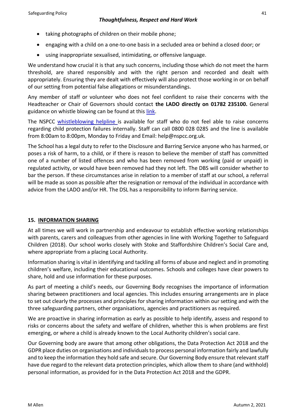- taking photographs of children on their mobile phone;
- engaging with a child on a one-to-one basis in a secluded area or behind a closed door; or
- using inappropriate sexualised, intimidating, or offensive language.

We understand how crucial it is that any such concerns, including those which do not meet the harm threshold, are shared responsibly and with the right person and recorded and dealt with appropriately. Ensuring they are dealt with effectively will also protect those working in or on behalf of our setting from potential false allegations or misunderstandings.

Any member of staff or volunteer who does not feel confident to raise their concerns with the Headteacher or Chair of Governors should contact **the LADO directly on 01782 235100.** General guidance on whistle blowing can be found at this [link.](https://www.gov.uk/whistleblowing)

The NSPCC [whistleblowing helpline i](https://www.gov.uk/government/news/home-office-launches-child-abuse-whistleblowing-helpline)s available for staff who do not feel able to raise concerns regarding child protection failures internally. Staff can call 0800 028 0285 and the line is available from 8:00am to 8:00pm, Monday to Friday and Email: help@nspcc.org.uk.

The School has a legal duty to refer to the Disclosure and Barring Service anyone who has harmed, or poses a risk of harm, to a child, or if there is reason to believe the member of staff has committed one of a number of listed offences and who has been removed from working (paid or unpaid) in regulated activity, or would have been removed had they not left. The DBS will consider whether to bar the person. If these circumstances arise in relation to a member of staff at our school, a referral will be made as soon as possible after the resignation or removal of the individual in accordance with advice from the LADO and/or HR. The DSL has a responsibility to inform Barring service.

# **15. INFORMATION SHARING**

At all times we will work in partnership and endeavour to establish effective working relationships with parents, carers and colleagues from other agencies in line with Working Together to Safeguard Children (2018). Our school works closely with Stoke and Staffordshire Children's Social Care and, where appropriate from a placing Local Authority.

Information sharing is vital in identifying and tackling all forms of abuse and neglect and in promoting children's welfare, including their educational outcomes. Schools and colleges have clear powers to share, hold and use information for these purposes.

As part of meeting a child's needs, our Governing Body recognises the importance of information sharing between practitioners and local agencies. This includes ensuring arrangements are in place to set out clearly the processes and principles for sharing information within our setting and with the three safeguarding partners, other organisations, agencies and practitioners as required.

We are proactive in sharing information as early as possible to help identify, assess and respond to risks or concerns about the safety and welfare of children, whether this is when problems are first emerging, or where a child is already known to the Local Authority children's social care.

Our Governing body are aware that among other obligations, the Data Protection Act 2018 and the GDPR place duties on organisations and individuals to process personal information fairly and lawfully and to keep the information they hold safe and secure. Our Governing Body ensure that relevant staff have due regard to the relevant data protection principles, which allow them to share (and withhold) personal information, as provided for in the Data Protection Act 2018 and the GDPR.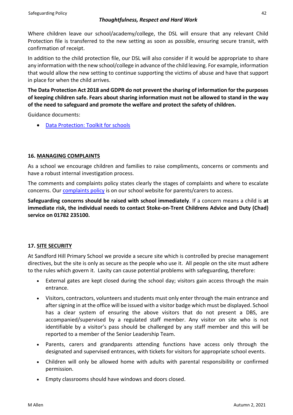Where children leave our school/academy/college, the DSL will ensure that any relevant Child Protection file is transferred to the new setting as soon as possible, ensuring secure transit, with confirmation of receipt.

In addition to the child protection file, our DSL will also consider if it would be appropriate to share any information with the new school/college in advance of the child leaving. For example, information that would allow the new setting to continue supporting the victims of abuse and have that support in place for when the child arrives.

**The Data Protection Act 2018 and GDPR do not prevent the sharing of information for the purposes of keeping children safe. Fears about sharing information must not be allowed to stand in the way of the need to safeguard and promote the welfare and protect the safety of children.**

Guidance documents:

• [Data Protection: Toolkit for schools](https://assets.publishing.service.gov.uk/government/uploads/system/uploads/attachment_data/file/747620/Data_Protection_Toolkit_for_Schools_OpenBeta.pdf)

# **16. MANAGING COMPLAINTS**

As a school we encourage children and families to raise compliments, concerns or comments and have a robust internal investigation process.

The comments and complaints policy states clearly the stages of complaints and where to escalate concerns. Our [complaints policy](https://sandfordhill.org.uk/wp-content/uploads/2021/11/Complaints-Policy-2021.pdf) is on our school website for parents/carers to access.

**Safeguarding concerns should be raised with school immediately**. If a concern means a child is **at immediate risk, the individual needs to contact Stoke-on-Trent Childrens Advice and Duty (Chad) service on 01782 235100.**

# **17. SITE SECURITY**

At Sandford Hill Primary School we provide a secure site which is controlled by precise management directives, but the site is only as secure as the people who use it. All people on the site must adhere to the rules which govern it. Laxity can cause potential problems with safeguarding, therefore:

- External gates are kept closed during the school day; visitors gain access through the main entrance.
- Visitors, contractors, volunteers and students must only enter through the main entrance and after signing in at the office will be issued with a visitor badge which must be displayed. School has a clear system of ensuring the above visitors that do not present a DBS, are accompanied/supervised by a regulated staff member. Any visitor on site who is not identifiable by a visitor's pass should be challenged by any staff member and this will be reported to a member of the Senior Leadership Team.
- Parents, carers and grandparents attending functions have access only through the designated and supervised entrances, with tickets for visitors for appropriate school events.
- Children will only be allowed home with adults with parental responsibility or confirmed permission.
- Empty classrooms should have windows and doors closed.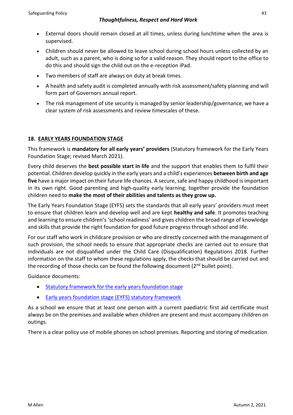- External doors should remain closed at all times, unless during lunchtime when the area is supervised.
- Children should never be allowed to leave school during school hours unless collected by an adult, such as a parent, who is doing so for a valid reason. They should report to the office to do this and should sign the child out on the e-reception iPad.
- Two members of staff are always on duty at break times.
- A health and safety audit is completed annually with risk assessment/safety planning and will form part of Governors annual report.
- The risk management of site security is managed by senior leadership/governance, we have a clear system of risk assessments and review timescales of these.

# **18. EARLY YEARS FOUNDATION STAGE**

This framework is **mandatory for all early years' providers** (Statutory framework for the Early Years Foundation Stage; revised March 2021).

Every child deserves the **best possible start in life** and the support that enables them to fulfil their potential. Children develop quickly in the early years and a child's experiences **between birth and age five** have a major impact on their future life chances. A secure, safe and happy childhood is important in its own right. Good parenting and high-quality early learning, together provide the foundation children need to **make the most of their abilities and talents as they grow up.** 

The Early Years Foundation Stage (EYFS) sets the standards that all early years' providers must meet to ensure that children learn and develop well and are kept **healthy and safe**. It promotes teaching and learning to ensure children's 'school readiness' and gives children the broad range of knowledge and skills that provide the right foundation for good future progress through school and life.

For our staff who work in childcare provision or who are directly concerned with the management of such provision, the school needs to ensure that appropriate checks are carried out to ensure that individuals are not disqualified under the Child Care (Disqualification) Regulations 2018. Further information on the staff to whom these regulations apply, the checks that should be carried out and the recording of those checks can be found the following document ( $2<sup>nd</sup>$  bullet point).

Guidance documents:

- [Statutory framework for the early years foundation stage](https://assets.publishing.service.gov.uk/government/uploads/system/uploads/attachment_data/file/974907/EYFS_framework_-_March_2021.pdf)
- [Early years foundation stage \(EYFS\) statutory framework](https://www.gov.uk/government/publications/early-years-foundation-stage-framework--2)

As a school we ensure that at least one person with a current paediatric first aid certificate must always be on the premises and available when children are present and must accompany children on outings.

There is a clear policy use of mobile phones on school premises. Reporting and storing of medication.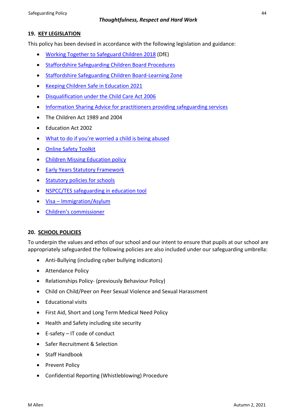# **19. KEY LEGISLATION**

This policy has been devised in accordance with the following legislation and guidance:

- [Working Together to Safeguard](https://www.gov.uk/government/publications/working-together-to-safeguard-children--2) Children 2018 (DfE)
- [Staffordshire Safeguarding Children Board Procedures](http://www.staffsscb.org.uk/professionals/procedures/)
- [Staffordshire Safeguarding Children Board-Learning](https://www.staffsscb.org.uk/learning-zone/) Zone
- [Keeping Children Safe in Education 2021](https://assets.publishing.service.gov.uk/government/uploads/system/uploads/attachment_data/file/1007260/Keeping_children_safe_in_education_2021.pdf)
- [Disqualification under the Child Care Act 2006](https://www.gov.uk/government/publications/disqualification-under-the-childcare-act-2006)
- [Information Sharing Advice for practitioners providing safeguarding services](https://www.gov.uk/government/publications/safeguarding-practitioners-information-sharing-advice)
- The Children Act 1989 and 2004
- Education Act 2002
- What to do if you're [worried a child is being abused](https://www.gov.uk/government/publications/what-to-do-if-youre-worried-a-child-is-being-abused)
- [Online Safety Toolkit](https://www.staffordshire.gov.uk/Education/Learning-options-and-careers/Getting-the-best-out-of-school/Staying-safe-online.aspx)
- [Children Missing Education policy](https://www.staffordshire.gov.uk/Education/Education-welfare/Children-missing-from-education-policy.aspx)
- [Early Years Statutory Framework](https://www.gov.uk/government/uploads/system/uploads/attachment_data/file/596629/EYFS_STATUTORY_FRAMEWORK_2017.pdf)
- [Statutory policies for schools](https://www.gov.uk/government/uploads/system/uploads/attachment_data/file/357068/statutory_schools_policies_Sept_14_FINAL.pdf)
- NSPCC/TES [safeguarding in education tool](https://esat.nspcc.org.uk/Account/login.aspx?ReturnUrl=%2f)
- Visa [Immigration/Asylum](https://www.gov.uk/browse/visas-immigration/asylum)
- [Children's commissioner](http://www.childrenscommissioner.gov.uk/publications)

# **20. SCHOOL POLICIES**

To underpin the values and ethos of our school and our intent to ensure that pupils at our school are appropriately safeguarded the following policies are also included under our safeguarding umbrella:

- Anti-Bullying (including cyber bullying indicators)
- Attendance Policy
- Relationships Policy- (previously Behaviour Policy)
- Child on Child/Peer on Peer Sexual Violence and Sexual Harassment
- Educational visits
- First Aid, Short and Long Term Medical Need Policy
- Health and Safety including site security
- E-safety IT code of conduct
- Safer Recruitment & Selection
- Staff Handbook
- Prevent Policy
- Confidential Reporting (Whistleblowing) Procedure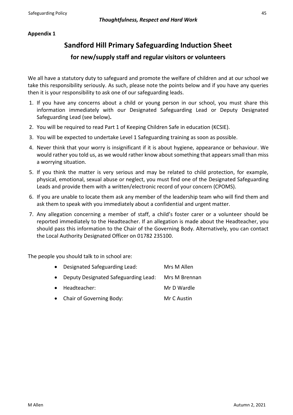# **Appendix 1**

# **Sandford Hill Primary Safeguarding Induction Sheet**

# **for new/supply staff and regular visitors or volunteers**

We all have a statutory duty to safeguard and promote the welfare of children and at our school we take this responsibility seriously. As such, please note the points below and if you have any queries then it is your responsibility to ask one of our safeguarding leads.

- 1. If you have any concerns about a child or young person in our school, you must share this information immediately with our Designated Safeguarding Lead or Deputy Designated Safeguarding Lead (see below)**.**
- 2. You will be required to read Part 1 of Keeping Children Safe in education (KCSIE).
- 3. You will be expected to undertake Level 1 Safeguarding training as soon as possible.
- 4. Never think that your worry is insignificant if it is about hygiene, appearance or behaviour. We would rather you told us, as we would rather know about something that appears small than miss a worrying situation.
- 5. If you think the matter is very serious and may be related to child protection, for example, physical, emotional, sexual abuse or neglect, you must find one of the Designated Safeguarding Leads and provide them with a written/electronic record of your concern (CPOMS).
- 6. If you are unable to locate them ask any member of the leadership team who will find them and ask them to speak with you immediately about a confidential and urgent matter.
- 7. Any allegation concerning a member of staff, a child's foster carer or a volunteer should be reported immediately to the Headteacher. If an allegation is made about the Headteacher, you should pass this information to the Chair of the Governing Body. Alternatively, you can contact the Local Authority Designated Officer on 01782 235100.

The people you should talk to in school are:

| • Designated Safeguarding Lead:        | Mrs M Allen   |
|----------------------------------------|---------------|
| • Deputy Designated Safeguarding Lead: | Mrs M Brennan |
| • Headteacher:                         | Mr D Wardle   |
| • Chair of Governing Body:             | Mr C Austin   |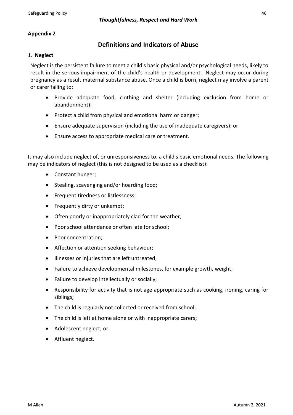# **Appendix 2**

# **Definitions and Indicators of Abuse**

#### 1. **Neglect**

Neglect is the persistent failure to meet a child's basic physical and/or psychological needs, likely to result in the serious impairment of the child's health or development. Neglect may occur during pregnancy as a result maternal substance abuse. Once a child is born, neglect may involve a parent or carer failing to:

- Provide adequate food, clothing and shelter (including exclusion from home or abandonment);
- Protect a child from physical and emotional harm or danger;
- Ensure adequate supervision (including the use of inadequate caregivers); or
- Ensure access to appropriate medical care or treatment.

It may also include neglect of, or unresponsiveness to, a child's basic emotional needs. The following may be indicators of neglect (this is not designed to be used as a checklist):

- Constant hunger;
- Stealing, scavenging and/or hoarding food;
- Frequent tiredness or listlessness;
- Frequently dirty or unkempt;
- Often poorly or inappropriately clad for the weather;
- Poor school attendance or often late for school;
- Poor concentration;
- Affection or attention seeking behaviour;
- Illnesses or injuries that are left untreated;
- Failure to achieve developmental milestones, for example growth, weight;
- Failure to develop intellectually or socially;
- Responsibility for activity that is not age appropriate such as cooking, ironing, caring for siblings;
- The child is regularly not collected or received from school;
- The child is left at home alone or with inappropriate carers;
- Adolescent neglect; or
- Affluent neglect.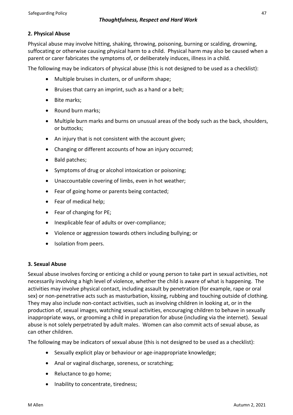# **2. Physical Abuse**

Physical abuse may involve hitting, shaking, throwing, poisoning, burning or scalding, drowning, suffocating or otherwise causing physical harm to a child. Physical harm may also be caused when a parent or carer fabricates the symptoms of, or deliberately induces, illness in a child.

The following may be indicators of physical abuse (this is not designed to be used as a checklist):

- Multiple bruises in clusters, or of uniform shape;
- Bruises that carry an imprint, such as a hand or a belt;
- Bite marks;
- Round burn marks;
- Multiple burn marks and burns on unusual areas of the body such as the back, shoulders, or buttocks;
- An injury that is not consistent with the account given;
- Changing or different accounts of how an injury occurred;
- Bald patches;
- Symptoms of drug or alcohol intoxication or poisoning;
- Unaccountable covering of limbs, even in hot weather;
- Fear of going home or parents being contacted;
- Fear of medical help;
- Fear of changing for PE;
- Inexplicable fear of adults or over-compliance;
- Violence or aggression towards others including bullying; or
- Isolation from peers.

#### **3. Sexual Abuse**

Sexual abuse involves forcing or enticing a child or young person to take part in sexual activities, not necessarily involving a high level of violence, whether the child is aware of what is happening. The activities may involve physical contact, including assault by penetration (for example, rape or oral sex) or non-penetrative acts such as masturbation, kissing, rubbing and touching outside of clothing*.*  They may also include non-contact activities, such as involving children in looking at, or in the production of, sexual images, watching sexual activities, encouraging children to behave in sexually inappropriate ways, or grooming a child in preparation for abuse (including via the internet). Sexual abuse is not solely perpetrated by adult males. Women can also commit acts of sexual abuse, as can other children.

The following may be indicators of sexual abuse (this is not designed to be used as a checklist):

- Sexually explicit play or behaviour or age-inappropriate knowledge;
- Anal or vaginal discharge, soreness, or scratching;
- Reluctance to go home;
- Inability to concentrate, tiredness;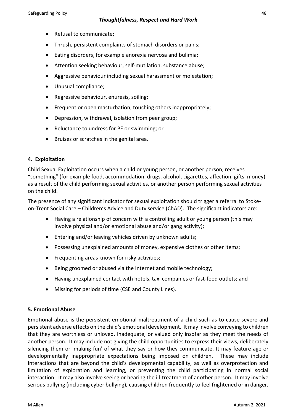- Refusal to communicate;
- Thrush, persistent complaints of stomach disorders or pains;
- Eating disorders, for example anorexia nervosa and bulimia;
- Attention seeking behaviour, self-mutilation, substance abuse;
- Aggressive behaviour including sexual harassment or molestation;
- Unusual compliance;
- Regressive behaviour, enuresis, soiling;
- Frequent or open masturbation, touching others inappropriately;
- Depression, withdrawal, isolation from peer group;
- Reluctance to undress for PE or swimming; or
- Bruises or scratches in the genital area.

# **4. Exploitation**

Child Sexual Exploitation occurs when a child or young person, or another person, receives "something" (for example food, accommodation, drugs, alcohol, cigarettes, affection, gifts, money) as a result of the child performing sexual activities, or another person performing sexual activities on the child.

The presence of any significant indicator for sexual exploitation should trigger a referral to Stokeon-Trent Social Care – Children's Advice and Duty service (ChAD). The significant indicators are:

- Having a relationship of concern with a controlling adult or young person (this may involve physical and/or emotional abuse and/or gang activity);
- Entering and/or leaving vehicles driven by unknown adults;
- Possessing unexplained amounts of money, expensive clothes or other items;
- Frequenting areas known for risky activities;
- Being groomed or abused via the Internet and mobile technology;
- Having unexplained contact with hotels, taxi companies or fast-food outlets; and
- Missing for periods of time (CSE and County Lines).

#### **5. Emotional Abuse**

Emotional abuse is the persistent emotional maltreatment of a child such as to cause severe and persistent adverse effects on the child's emotional development. It may involve conveying to children that they are worthless or unloved, inadequate, or valued only insofar as they meet the needs of another person. It may include not giving the child opportunities to express their views, deliberately silencing them or 'making fun' of what they say or how they communicate. It may feature age or developmentally inappropriate expectations being imposed on children. These may include interactions that are beyond the child's developmental capability, as well as overprotection and limitation of exploration and learning, or preventing the child participating in normal social interaction. It may also involve seeing or hearing the ill-treatment of another person. It may involve serious bullying (including cyber bullying)*,* causing children frequently to feel frightened or in danger,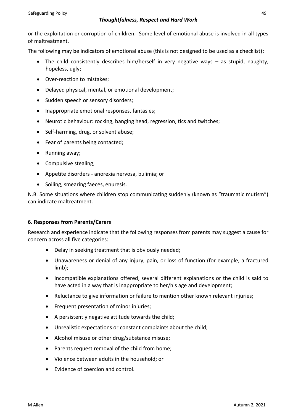or the exploitation or corruption of children. Some level of emotional abuse is involved in all types of maltreatment.

The following may be indicators of emotional abuse (this is not designed to be used as a checklist):

- The child consistently describes him/herself in very negative ways as stupid, naughty, hopeless, ugly;
- Over-reaction to mistakes;
- Delayed physical, mental, or emotional development;
- Sudden speech or sensory disorders;
- Inappropriate emotional responses, fantasies;
- Neurotic behaviour: rocking, banging head, regression, tics and twitches;
- Self-harming, drug, or solvent abuse;
- Fear of parents being contacted;
- Running away;
- Compulsive stealing;
- Appetite disorders anorexia nervosa, bulimia; or
- Soiling, smearing faeces, enuresis.

N.B. Some situations where children stop communicating suddenly (known as "traumatic mutism") can indicate maltreatment.

# **6. Responses from Parents/Carers**

Research and experience indicate that the following responses from parents may suggest a cause for concern across all five categories:

- Delay in seeking treatment that is obviously needed;
- Unawareness or denial of any injury, pain, or loss of function (for example, a fractured limb);
- Incompatible explanations offered, several different explanations or the child is said to have acted in a way that is inappropriate to her/his age and development;
- Reluctance to give information or failure to mention other known relevant injuries;
- Frequent presentation of minor injuries;
- A persistently negative attitude towards the child;
- Unrealistic expectations or constant complaints about the child;
- Alcohol misuse or other drug/substance misuse;
- Parents request removal of the child from home;
- Violence between adults in the household; or
- Evidence of coercion and control.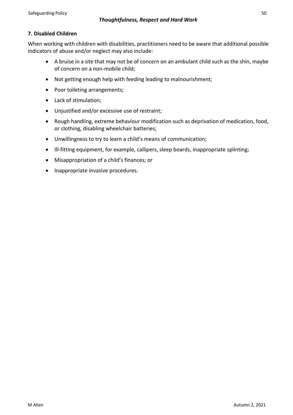# **7. Disabled Children**

When working with children with disabilities, practitioners need to be aware that additional possible indicators of abuse and/or neglect may also include:

- A bruise in a site that may not be of concern on an ambulant child such as the shin, maybe of concern on a non-mobile child;
- Not getting enough help with feeding leading to malnourishment;
- Poor toileting arrangements:
- Lack of stimulation;
- Unjustified and/or excessive use of restraint;
- Rough handling, extreme behaviour modification such as deprivation of medication, food, or clothing, disabling wheelchair batteries;
- Unwillingness to try to learn a child's means of communication;
- Ill-fitting equipment, for example, callipers, sleep boards, inappropriate splinting;
- Misappropriation of a child's finances; or
- Inappropriate invasive procedures.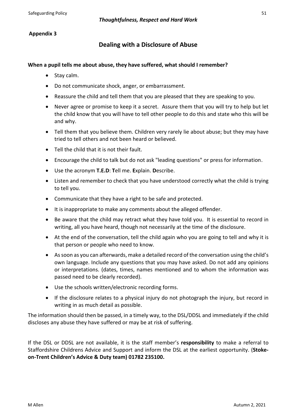# **Appendix 3**

# **Dealing with a Disclosure of Abuse**

#### **When a pupil tells me about abuse, they have suffered, what should I remember?**

- Stay calm.
- Do not communicate shock, anger, or embarrassment.
- Reassure the child and tell them that you are pleased that they are speaking to you.
- Never agree or promise to keep it a secret. Assure them that you will try to help but let the child know that you will have to tell other people to do this and state who this will be and why.
- Tell them that you believe them. Children very rarely lie about abuse; but they may have tried to tell others and not been heard or believed.
- Tell the child that it is not their fault.
- Encourage the child to talk but do not ask "leading questions" or press for information.
- Use the acronym **T.E.D**: **T**ell me. **E**xplain. **D**escribe.
- Listen and remember to check that you have understood correctly what the child is trying to tell you.
- Communicate that they have a right to be safe and protected.
- It is inappropriate to make any comments about the alleged offender.
- Be aware that the child may retract what they have told you. It is essential to record in writing, all you have heard, though not necessarily at the time of the disclosure.
- At the end of the conversation, tell the child again who you are going to tell and why it is that person or people who need to know.
- As soon as you can afterwards, make a detailed record of the conversation using the child's own language. Include any questions that you may have asked. Do not add any opinions or interpretations. (dates, times, names mentioned and to whom the information was passed need to be clearly recorded).
- Use the schools written/electronic recording forms.
- If the disclosure relates to a physical injury do not photograph the injury, but record in writing in as much detail as possible.

The information should then be passed, in a timely way, to the DSL/DDSL and immediately if the child discloses any abuse they have suffered or may be at risk of suffering.

If the DSL or DDSL are not available, it is the staff member's **responsibility** to make a referral to Staffordshire Childrens Advice and Support and inform the DSL at the earliest opportunity. (**Stokeon-Trent Children's Advice & Duty team) 01782 235100.**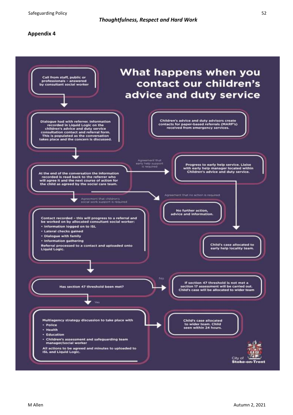Safeguarding Policy 52

#### **Appendix 4**

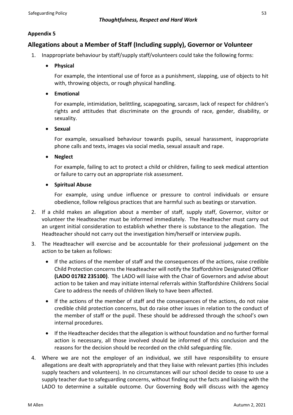# **Appendix 5**

# **Allegations about a Member of Staff (Including supply), Governor or Volunteer**

- 1. Inappropriate behaviour by staff/supply staff/volunteers could take the following forms:
	- **Physical**

For example, the intentional use of force as a punishment, slapping, use of objects to hit with, throwing objects, or rough physical handling.

• **Emotional**

For example, intimidation, belittling, scapegoating, sarcasm, lack of respect for children's rights and attitudes that discriminate on the grounds of race, gender, disability, or sexuality.

• **Sexual**

For example, sexualised behaviour towards pupils, sexual harassment, inappropriate phone calls and texts, images via social media, sexual assault and rape.

• **Neglect**

For example, failing to act to protect a child or children, failing to seek medical attention or failure to carry out an appropriate risk assessment.

• **Spiritual Abuse**

For example, using undue influence or pressure to control individuals or ensure obedience, follow religious practices that are harmful such as beatings or starvation.

- 2. If a child makes an allegation about a member of staff, supply staff, Governor, visitor or volunteer the Headteacher must be informed immediately. The Headteacher must carry out an urgent initial consideration to establish whether there is substance to the allegation. The Headteacher should not carry out the investigation him/herself or interview pupils.
- 3. The Headteacher will exercise and be accountable for their professional judgement on the action to be taken as follows:
	- If the actions of the member of staff and the consequences of the actions, raise credible Child Protection concerns the Headteacher will notify the Staffordshire Designated Officer **(LADO 01782 235100)**. The LADO will liaise with the Chair of Governors and advise about action to be taken and may initiate internal referrals within Staffordshire Childrens Social Care to address the needs of children likely to have been affected.
	- If the actions of the member of staff and the consequences of the actions, do not raise credible child protection concerns, but do raise other issues in relation to the conduct of the member of staff or the pupil. These should be addressed through the school's own internal procedures.
	- If the Headteacher decides that the allegation is without foundation and no further formal action is necessary, all those involved should be informed of this conclusion and the reasons for the decision should be recorded on the child safeguarding file.
- 4. Where we are not the employer of an individual, we still have responsibility to ensure allegations are dealt with appropriately and that they liaise with relevant parties (this includes supply teachers and volunteers). In no circumstances will our school decide to cease to use a supply teacher due to safeguarding concerns, without finding out the facts and liaising with the LADO to determine a suitable outcome. Our Governing Body will discuss with the agency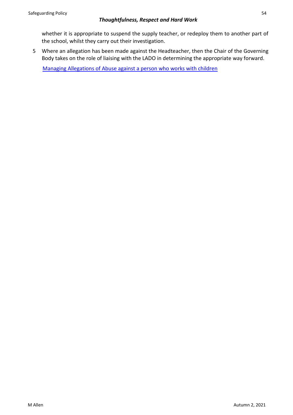whether it is appropriate to suspend the supply teacher, or redeploy them to another part of the school, whilst they carry out their investigation.

5 Where an allegation has been made against the Headteacher, then the Chair of the Governing Body takes on the role of liaising with the LADO in determining the appropriate way forward.

[Managing Allegations of Abuse against a person who works with children](https://www.staffsscb.org.uk/wp-content/uploads/2020/09/Allegations-of-abuse-made-against-a-person-who-works-with-children.pdf)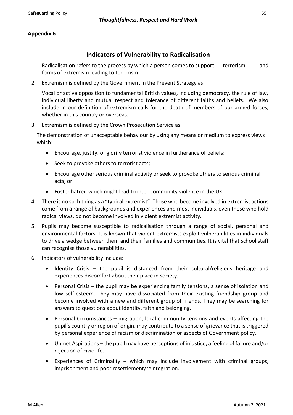# **Appendix 6**

# **Indicators of Vulnerability to Radicalisation**

- 1. Radicalisation refers to the process by which a person comes to support terrorism and forms of extremism leading to terrorism.
- 2. Extremism is defined by the Government in the Prevent Strategy as:

Vocal or active opposition to fundamental British values, including democracy, the rule of law, individual liberty and mutual respect and tolerance of different faiths and beliefs. We also include in our definition of extremism calls for the death of members of our armed forces, whether in this country or overseas.

3. Extremism is defined by the Crown Prosecution Service as:

The demonstration of unacceptable behaviour by using any means or medium to express views which:

- Encourage, justify, or glorify terrorist violence in furtherance of beliefs;
- Seek to provoke others to terrorist acts;
- Encourage other serious criminal activity or seek to provoke others to serious criminal acts; or
- Foster hatred which might lead to inter-community violence in the UK.
- 4. There is no such thing as a "typical extremist". Those who become involved in extremist actions come from a range of backgrounds and experiences and most individuals, even those who hold radical views, do not become involved in violent extremist activity.
- 5. Pupils may become susceptible to radicalisation through a range of social, personal and environmental factors. It is known that violent extremists exploit vulnerabilities in individuals to drive a wedge between them and their families and communities. It is vital that school staff can recognise those vulnerabilities.
- 6. Indicators of vulnerability include:
	- Identity Crisis the pupil is distanced from their cultural/religious heritage and experiences discomfort about their place in society.
	- Personal Crisis the pupil may be experiencing family tensions, a sense of isolation and low self-esteem. They may have dissociated from their existing friendship group and become involved with a new and different group of friends. They may be searching for answers to questions about identity, faith and belonging.
	- Personal Circumstances migration, local community tensions and events affecting the pupil's country or region of origin, may contribute to a sense of grievance that is triggered by personal experience of racism or discrimination or aspects of Government policy.
	- Unmet Aspirations the pupil may have perceptions of injustice, a feeling of failure and/or rejection of civic life.
	- Experiences of Criminality which may include involvement with criminal groups, imprisonment and poor resettlement/reintegration.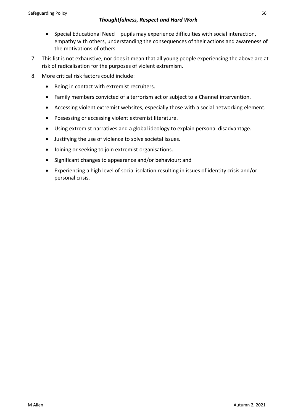- Special Educational Need pupils may experience difficulties with social interaction, empathy with others, understanding the consequences of their actions and awareness of the motivations of others.
- 7. This list is not exhaustive, nor does it mean that all young people experiencing the above are at risk of radicalisation for the purposes of violent extremism.
- 8. More critical risk factors could include:
	- Being in contact with extremist recruiters.
	- Family members convicted of a terrorism act or subject to a Channel intervention.
	- Accessing violent extremist websites, especially those with a social networking element.
	- Possessing or accessing violent extremist literature.
	- Using extremist narratives and a global ideology to explain personal disadvantage.
	- Justifying the use of violence to solve societal issues.
	- Joining or seeking to join extremist organisations.
	- Significant changes to appearance and/or behaviour; and
	- Experiencing a high level of social isolation resulting in issues of identity crisis and/or personal crisis.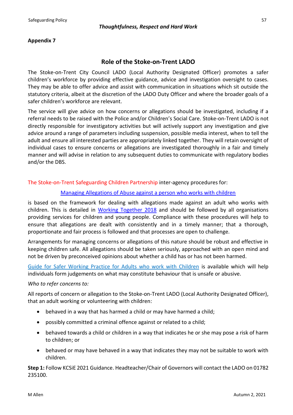# **Role of the Stoke-on-Trent LADO**

The Stoke-on-Trent City Council LADO (Local Authority Designated Officer) promotes a safer children's workforce by providing effective guidance, advice and investigation oversight to cases. They may be able to offer advice and assist with communication in situations which sit outside the statutory criteria, albeit at the discretion of the LADO Duty Officer and where the broader goals of a safer children's workforce are relevant.

The service will give advice on how concerns or allegations should be investigated, including if a referral needs to be raised with the Police and/or Children's Social Care. Stoke-on-Trent LADO is not directly responsible for investigatory activities but will actively support any investigation and give advice around a range of parameters including suspension, possible media interest, when to tell the adult and ensure all interested parties are appropriately linked together. They will retain oversight of individual cases to ensure concerns or allegations are investigated thoroughly in a fair and timely manner and will advise in relation to any subsequent duties to communicate with regulatory bodies and/or the DBS.

The Stoke-on-Trent Safeguarding Children Partnership inter-agency procedures for:

#### [Managing Allegations of Abuse against a person who works with children](https://www.staffsscb.org.uk/wp-content/uploads/2020/09/Allegations-of-abuse-made-against-a-person-who-works-with-children.pdf)

is based on the framework for dealing with allegations made against an adult who works with children. This is detailed in [Working Together 2018](https://www.gov.uk/government/publications/working-together-to-safeguard-children--2) and should be followed by all organisations providing services for children and young people. Compliance with these procedures will help to ensure that allegations are dealt with consistently and in a timely manner; that a thorough, proportionate and fair process is followed and that processes are open to challenge.

Arrangements for managing concerns or allegations of this nature should be robust and effective in keeping children safe. All allegations should be taken seriously, approached with an open mind and not be driven by preconceived opinions about whether a child has or has not been harmed.

[Guide for Safer Working Practice for Adults who work with Children](https://www.ssscb.org.uk/working-together-to-safeguard-children/) is available which will help individuals form judgements on what may constitute behaviour that is unsafe or abusive.

#### *Who to refer concerns to:*

All reports of concern or allegation to the Stoke-on-Trent LADO (Local Authority Designated Officer), that an adult working or volunteering with children:

- behaved in a way that has harmed a child or may have harmed a child;
- possibly committed a criminal offence against or related to a child;
- behaved towards a child or children in a way that indicates he or she may pose a risk of harm to children; or
- behaved or may have behaved in a way that indicates they may not be suitable to work with children.

**Step 1:** Follow KCSiE 2021 Guidance. Headteacher/Chair of Governors will contact the LADO on 01782 235100.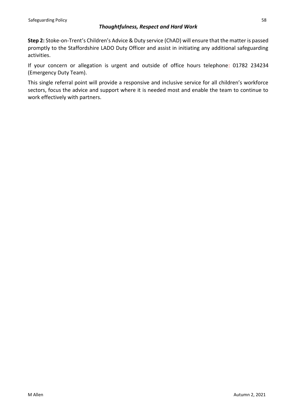**Step 2:** Stoke-on-Trent's Children's Advice & Duty service (ChAD) will ensure that the matter is passed promptly to the Staffordshire LADO Duty Officer and assist in initiating any additional safeguarding activities.

If your concern or allegation is urgent and outside of office hours telephone: 01782 234234 (Emergency Duty Team).

This single referral point will provide a responsive and inclusive service for all children's workforce sectors, focus the advice and support where it is needed most and enable the team to continue to work effectively with partners.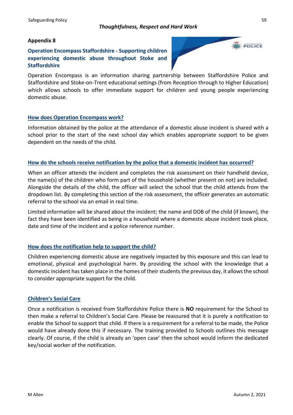#### **Appendix 8**

# **Operation Encompass Staffordshire - Supporting children experiencing domestic abuse throughout Stoke and Staffordshire**



Operation Encompass is an information sharing partnership between Staffordshire Police and Staffordshire and Stoke-on-Trent educational settings (from Reception through to Higher Education) which allows schools to offer immediate support for children and young people experiencing domestic abuse.

#### **How does Operation Encompass work?**

Information obtained by the police at the attendance of a domestic abuse incident is shared with a school prior to the start of the next school day which enables appropriate support to be given dependent on the needs of the child.

#### **How do the schools receive notification by the police that a domestic incident has occurred?**

When an officer attends the incident and completes the risk assessment on their handheld device, the name(s) of the children who form part of the household (whether present on not) are included. Alongside the details of the child, the officer will select the school that the child attends from the dropdown list. By completing this section of the risk assessment, the officer generates an automatic referral to the school via an email in real time.

Limited information will be shared about the incident; the name and DOB of the child (if known), the fact they have been identified as being in a household where a domestic abuse incident took place, date and time of the incident and a police reference number.

#### **How does the notification help to support the child?**

Children experiencing domestic abuse are negatively impacted by this exposure and this can lead to emotional, physical and psychological harm. By providing the school with the knowledge that a domestic incident has taken place in the homes of their students the previous day, it allows the school to consider appropriate support for the child.

#### **Children's Social Care**

Once a notification is received from Staffordshire Police there is **NO** requirement for the School to then make a referral to Children's Social Care. Please be reassured that it is purely a notification to enable the School to support that child. If there is a requirement for a referral to be made, the Police would have already done this if necessary. The training provided to Schools outlines this message clearly. Of course, if the child is already an 'open case' then the school would inform the dedicated key/social worker of the notification.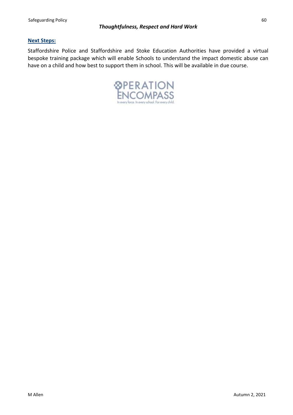# **Next Steps:**

Staffordshire Police and Staffordshire and Stoke Education Authorities have provided a virtual bespoke training package which will enable Schools to understand the impact domestic abuse can have on a child and how best to support them in school. This will be available in due course.

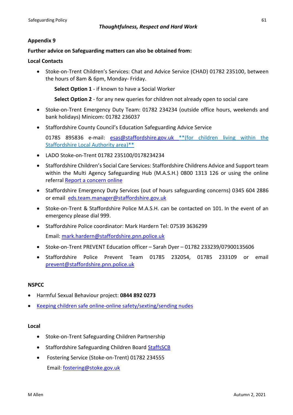#### **Appendix 9**

#### **Further advice on Safeguarding matters can also be obtained from:**

#### **Local Contacts**

• Stoke-on-Trent Children's Services: Chat and Advice Service (CHAD) 01782 235100, between the hours of 8am & 6pm, Monday- Friday.

**Select Option 1** - if known to have a Social Worker

**Select Option 2** - for any new queries for children not already open to social care

- Stoke-on-Trent Emergency Duty Team: 01782 234234 (outside office hours, weekends and bank holidays) Minicom: 01782 236037
- Staffordshire County Council's Education Safeguarding Advice Service

01785 895836 e-mail: [esas@staffordshire.gov.uk](mailto:esas@staffordshire.gov.uk) \*\*(for children living within the Staffordshire Local Authority area)\*\*

- LADO Stoke-on-Trent 01782 235100/0178234234
- Staffordshire Children's Social Care Services: Staffordshire Childrens Advice and Support team within the Multi Agency Safeguarding Hub (M.A.S.H.) 0800 1313 126 or using the online referral [Report a concern online](https://www.staffordshire.gov.uk/Care-for-children-and-families/Childprotection/Report-a-concern-online.aspx)
- Staffordshire Emergency Duty Services (out of hours safeguarding concerns) 0345 604 2886 or email [eds.team.manager@staffordshire.gov.uk](mailto:eds.team.manager@staffordshire.gov.uk)
- Stoke-on-Trent & Staffordshire Police M.A.S.H. can be contacted on 101. In the event of an emergency please dial 999.
- Staffordshire Police coordinator: Mark Hardern Tel: 07539 3636299 Email: [mark.hardern@staffordshire.pnn.police.uk](mailto:mark.hardern@staffordshire.pnn.police.uk)
- Stoke-on-Trent PREVENT Education officer Sarah Dyer 01782 233239/07900135606
- Staffordshire Police Prevent Team 01785 232054, 01785 233109 or email [prevent@staffordshire.pnn.police.uk](mailto:prevent@staffordshire.pnn.police.uk)

#### **NSPCC**

- Harmful Sexual Behaviour project: **0844 892 0273**
- Keeping [children safe online-online safety/sexting/sending nudes](https://www.nspcc.org.uk/keeping-children-safe/online-safety/sexting-sending-nudes/)

#### **Local**

- Stoke-on-Trent Safeguarding Children Partnership
- Staffordshire Safeguarding Children Board [StaffsSCB](https://www.staffsscb.org.uk/)
- Fostering Service (Stoke-on-Trent) 01782 234555 Email: [fostering@stoke.gov.uk](mailto:fostering@stoke.gov.uk)